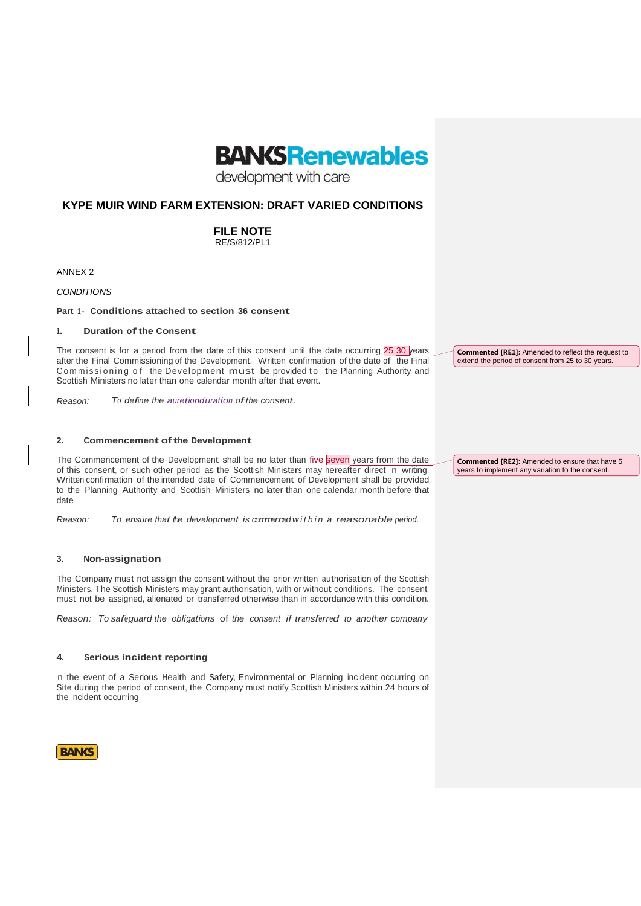

development with care

# **KYPE MUIR WIND FARM EXTENSION: DRAFT VARIED CONDITIONS**

**FILE NOTE** RE/S/812/PL1

ANNEX 2

*CONDITIONS*

**Part 1 - Conditions attached to section <sup>36</sup> consent**

### **1. Duration ofthe Consent**

The consent is for a period from the date of this consent until the date occurring  $25-30$  years after the Final Commissioning of the Development. Written confirmation of the date of the Final Commissioning of the Development must be provided to the Planning Authority and Scottish Ministers no later than one calendar month after that event.

*Reason: To define the auretionduration ofthe consent.*

# **2. Commencement ofthe Development**

The Commencement of the Development shall be no later than five seven years from the date of this consent, or such other period as the Scottish Ministers may hereafter direct in writing. Written confirmation of the intended date of Commencement of Development shall be provided to the Planning Authority and Scottish Ministers no later than one calendar month before that date

*Reason: To ensure that the development is commenced w i t h i n a reasonable period.*

# **3. Non-assignation**

The Company must not assign the consent without the prior written authorisation of the Scottish Ministers. The Scottish Ministers may grant authorisation, with or without conditions. The consent, must not be assigned, alienated or transferred otherwise than in accordance with this condition.

*Reason: To safeguard the obligations* of *the consent if transferred to another company.*

### **4. Serious incident reporting**

In the event of a Serious Health and Safety, Environmental or Planning incident occurring on Site during the period of consent, the Company must notify Scottish Ministers within 24 hours of the incident occurring

**BANKS** 

**Commented [RE1]:** Amended to reflect the request to extend the period of consent from 25 to 30 years.

**Commented [RE2]:** Amended to ensure that have 5 years to implement any variation to the consent.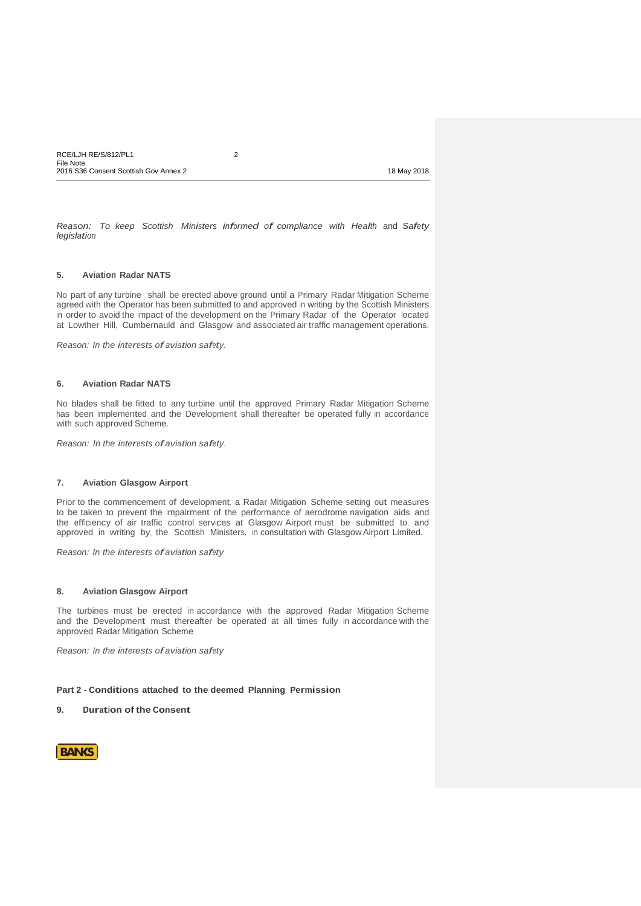*Reason: To keep Scottish Ministers informed of compliance with Health* and *Safety legislation*

### **5. Aviation Radar NATS**

No part of any turbine shall be erected above ground until a Primary Radar Mitigation Scheme agreed with the Operator has been submitted to and approved in writing by the Scottish Ministers in order to avoid the impact of the development on the Primary Radar of the Operator located at Lowther Hill, Cumbernauld and Glasgow and associated air traffic management operations.

*Reason: In the interests of aviation safety.*

### **6. Aviation Radar NATS**

No blades shall be fitted to any turbine until the approved Primary Radar Mitigation Scheme has been implemented and the Development shall thereafter be operated fully in accordance with such approved Scheme.

*Reason: In the interests ofaviation safety.*

### **7. Aviation Glasgow Airport**

Prior to the commencement of development, a Radar Mitigation Scheme setting out measures to be taken to prevent the impairment of the performance of aerodrome navigation aids and the efficiency of air traffic control services at Glasgow Airport must be submitted to, and approved in writing by, the Scottish Ministers, in consultation with Glasgow Airport Limited.

*Reason: In the interests ofaviation safety.*

### **8. Aviation Glasgow Airport**

The turbines must be erected in accordance with the approved Radar Mitigation Scheme and the Development must thereafter be operated at all times fully in accordance with the approved Radar Mitigation Scheme

*Reason: In the interests ofaviation safety*

# **Part 2 - Conditions attached to the deemed Planning Permission**

#### **9. Duration of the Consent**

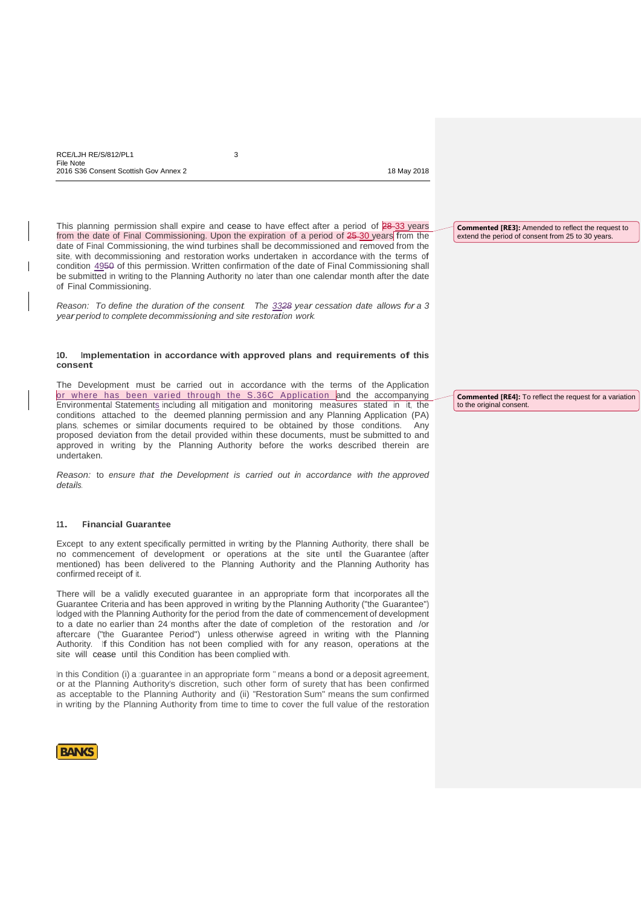This planning permission shall expire and cease to have effect after a period of 28-33 years

from the date of Final Commissioning. Upon the expiration of a period of 25 30 years from the date of Final Commissioning, the wind turbines shall be decommissioned and removed from the site, with decommissioning and restoration works undertaken in accordance with the terms of condition 4950 of this permission. Written confirmation of the date of Final Commissioning shall be submitted in writing to the Planning Authority no later than one calendar month after the date of Final Commissioning.

*Reason: To define the duration of the consent. The 3328 year cessation date allows for a 3 yearperiod to complete decommissioning and site restoration work.*

## **10. Implementation in accordance with approved plans and requirements of this consent**

The Development must be carried out in accordance with the terms of the Application or where has been varied through the S.36C Application and the accompanying Environmental Statements including all mitigation and monitoring measures stated in it, the conditions attached to the deemed planning permission and any Planning Application (PA) plans, schemes or similar documents required to be obtained by those conditions. Any proposed deviation from the detail provided within these documents, must be submitted to and approved in writing by the Planning Authority before the works described therein are undertaken.

*Reason:* to *ensure that the Development is carried out in accordance with the approved details.*

# **11. Financial Guarantee**

Except to any extent specifically permitted in writing by the Planning Authority, there shall be no commencement of development or operations at the site until the Guarantee (after mentioned) has been delivered to the Planning Authority and the Planning Authority has confirmed receipt of it.

There will be a validly executed guarantee in an appropriate form that incorporates all the Guarantee Criteria and has been approved in writing by the Planning Authority ("the Guarantee") lodged with the Planning Authority for the period from the date of commencement of development to a date no earlier than 24 months after the date of completion of the restoration and /or aftercare ("the Guarantee Period") unless otherwise agreed in writing with the Planning Authority. If this Condition has not been complied with for any reason, operations at the site will cease until this Condition has been complied with.

In this Condition (i) a ::quarantee in an appropriate form " means a bond or a deposit agreement, or at the Planning Authority's discretion, such other form of surety that has been confirmed as acceptable to the Planning Authority and (ii) "Restoration Sum" means the sum confirmed in writing by the Planning Authority from time to time to cover the full value of the restoration



**Commented [RE3]:** Amended to reflect the request to extend the period of consent from 25 to 30 years.

**Commented [RE4]:** To reflect the request for a variation to the original consent.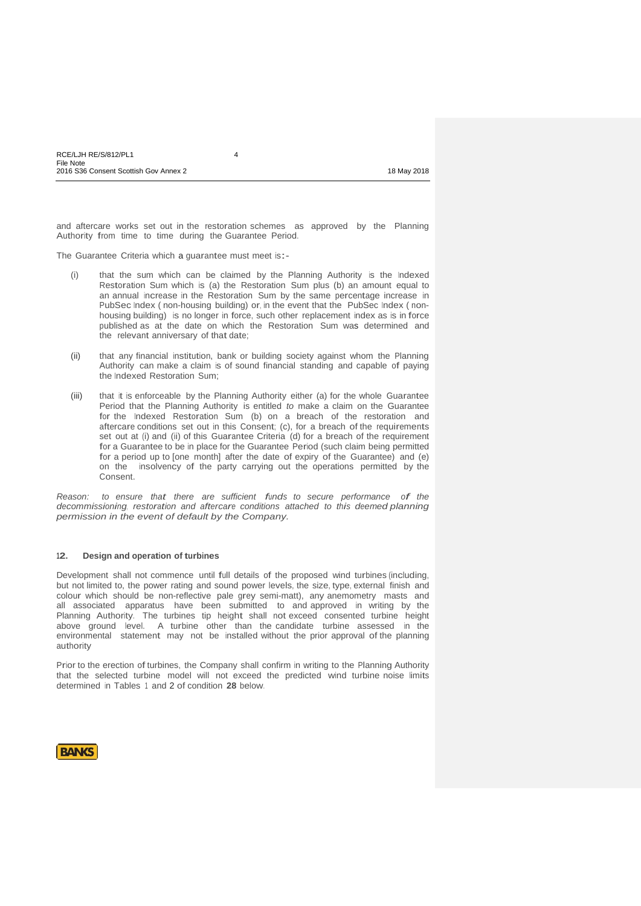and aftercare works set out in the restoration schemes as approved by the Planning Authority from time to time during the Guarantee Period.

The Guarantee Criteria which <sup>a</sup> guarantee must meet is:-

- (i) that the sum which can be claimed by the Planning Authority is the Indexed Restoration Sum which is (a) the Restoration Sum plus (b) an amount equal to an annual increase in the Restoration Sum by the same percentage increase in PubSec Index ( non-housing building) or, in the event that the PubSec Index ( nonhousing building) is no longer in force, such other replacement index as is in force published as at the date on which the Restoration Sum was determined and the relevant anniversary of that date;
- (ii) that any financial institution, bank or building society against whom the Planning Authority can make a claim is of sound financial standing and capable of paying the Indexed Restoration Sum;
- (iii) that it is enforceable by the Planning Authority either (a) for the whole Guarantee Period that the Planning Authority is entitled *to* make a claim on the Guarantee for the Indexed Restoration Sum (b) on a breach of the restoration and aftercare conditions set out in this Consent; (c), for a breach of the requirements set out at (i) and (ii) of this Guarantee Criteria (d) for a breach of the requirement for a Guarantee to be in place for the Guarantee Period (such claim being permitted for a period up to [one month] after the date of expiry of the Guarantee) and (e) on the insolvency of the party carrying out the operations permitted by the Consent.

*Reason:**to ensure that there are sufficient funds to secure performance of the decommissioning, restoration and aftercare conditions attached to this deemed planning permission in the event of default by the Company.*

#### **12. Design and operation of turbines**

Development shall not commence until full details of the proposed wind turbines (including, but not limited to, the power rating and sound power levels, the size, type, external finish and colour which should be non-reflective pale grey semi-matt), any anemometry masts and all associated apparatus have been submitted to and approved in writing by the Planning Authority. The turbines tip height shall not exceed consented turbine height above ground level. A turbine other than the candidate turbine assessed in the environmental statement may not be installed without the prior approval of the planning authority

Prior to the erection of turbines, the Company shall confirm in writing to the Planning Authority that the selected turbine model will not exceed the predicted wind turbine noise limits determined in Tables 1 and 2 of condition **28** below.

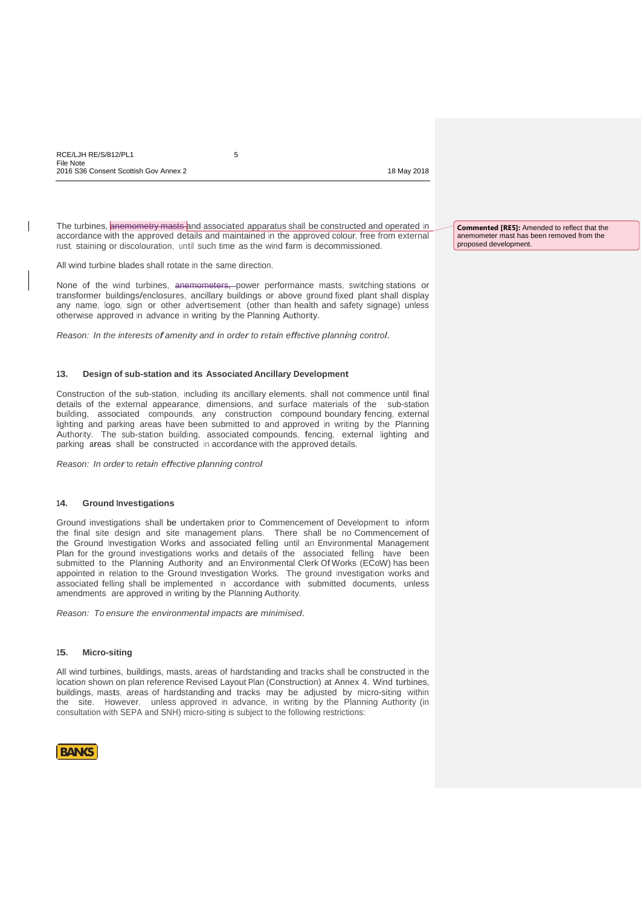The turbines, anemometry masts and associated apparatus shall be constructed and operated in accordance with the approved details and maintained in the approved colour, free from external rust, staining or discolouration, until such time as the wind farm is decommissioned.

All wind turbine blades shall rotate in the same direction.

None of the wind turbines, anemometers, power performance masts, switching stations or transformer buildings/enclosures, ancillary buildings or above ground fixed plant shall display any name, logo, sign or other advertisement (other than health and safety signage) unless otherwise approved in advance in writing by the Planning Authority.

*Reason: In the interests ofamenity and in order to retain effective planning control.*

# **13. Design of sub-station and its Associated Ancillary Development**

Construction of the sub-station, including its ancillary elements, shall not commence until final details of the external appearance, dimensions, and surface materials of the sub-station building, associated compounds, any construction compound boundary fencing, external lighting and parking areas have been submitted to and approved in writing by the Planning Authority. The sub-station building, associated compounds, fencing, external lighting and parking areas shall be constructed in accordance with the approved details.

*Reason: In order*to *retain effective planning control.*

### **14. Ground Investigations**

Ground investigations shall be undertaken prior to Commencement of Development to inform the final site design and site management plans. There shall be no Commencement of the Ground Investigation Works and associated felling until an Environmental Management Plan for the ground investigations works and details of the associated felling have been submitted to the Planning Authority and an Environmental Clerk Of Works (ECoW) has been appointed in relation to the Ground Investigation Works. The ground investigation works and associated felling shall be implemented in accordance with submitted documents, unless amendments are approved in writing by the Planning Authority.

*Reason: To ensure the environmental impacts are minimised.*

### **15. Micro-siting**

All wind turbines, buildings, masts, areas of hardstanding and tracks shall be constructed in the location shown on plan reference Revised Layout Plan (Construction) at Annex 4. Wind turbines, buildings, masts, areas of hardstanding and tracks may be adjusted by micro-siting within the site. However, unless approved in advance, in writing by the Planning Authority (in consultation with SEPA and SNH) micro-siting is subject to the following restrictions:



**Commented [RE5]:** Amended to reflect that the anemometer mast has been removed from the proposed development.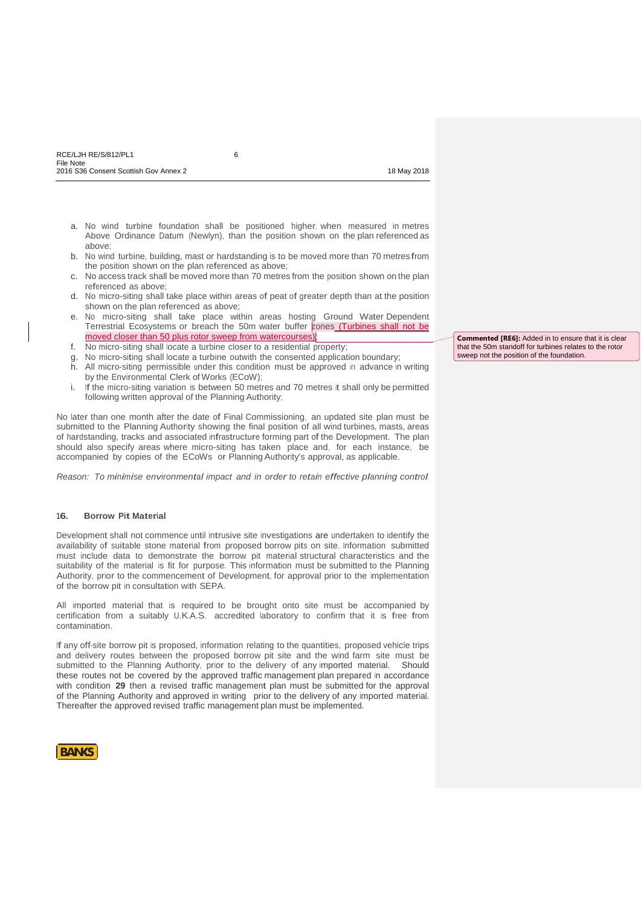- 
- a. No wind turbine foundation shall be positioned higher, when measured in metres Above Ordinance Datum (Newlyn), than the position shown on the plan referenced as above;
- b. No wind turbine, building, mast or hardstanding is to be moved more than 70 metres from the position shown on the plan referenced as above;
- c. No access track shall be moved more than 70 metres from the position shown on the plan referenced as above;
- d. No micro-siting shall take place within areas of peat of greater depth than at the position shown on the plan referenced as above;
- e. No micro-siting shall take place within areas hosting Ground Water Dependent Terrestrial Ecosystems or breach the 50m water buffer zones (Turbines shall not be moved closer than 50 plus rotor sweep from watercourses);
- f. No micro-siting shall locate a turbine closer to a residential property;
- g. No micro-siting shall locate a turbine outwith the consented application boundary;
- h. All micro-siting permissible under this condition must be approved in advance in writing by the Environmental Clerk of Works (ECoW);
- i. If the micro-siting variation is between 50 metres and 70 metres it shall only be permitted following written approval of the Planning Authority;

No later than one month after the date of Final Commissioning, an updated site plan must be submitted to the Planning Authority showing the final position of all wind turbines, masts, areas of hardstanding, tracks and associated infrastructure forming part of the Development. The plan should also specify areas where micro-siting has taken place and, for each instance, be accompanied by copies of the ECoWs or PlanningAuthority's approval, as applicable.

*Reason: To minimise environmental impact and in order to retain effective planning control.*

### **16. Borrow Pit Material**

Development shall not commence until intrusive site investigations are undertaken to identify the availability of suitable stone material from proposed borrow pits on site. Information submitted must include data to demonstrate the borrow pit material structural characteristics and the suitability of the material is fit for purpose. This information must be submitted to the Planning Authority, prior to the commencement of Development, for approval prior to the implementation of the borrow pit in consultation with SEPA.

All imported material that is required to be brought onto site must be accompanied by certification from a suitably U.K.A.S. accredited laboratory to confirm that it is free from contamination.

If any off-site borrow pit is proposed, information relating to the quantities, proposed vehicle trips and delivery routes between the proposed borrow pit site and the wind farm site must be submitted to the Planning Authority, prior to the delivery of any imported material. Should these routes not be covered by the approved traffic management plan prepared in accordance with condition **29** then a revised traffic management plan must be submitted for the approval of the Planning Authority and approved in writing prior to the delivery of any imported material. Thereafter the approved revised traffic management plan must be implemented.



**Commented [RE6]:** Added in to ensure that it is clear that the 50m standoff for turbines relates to the rotor sweep not the position of the foundation.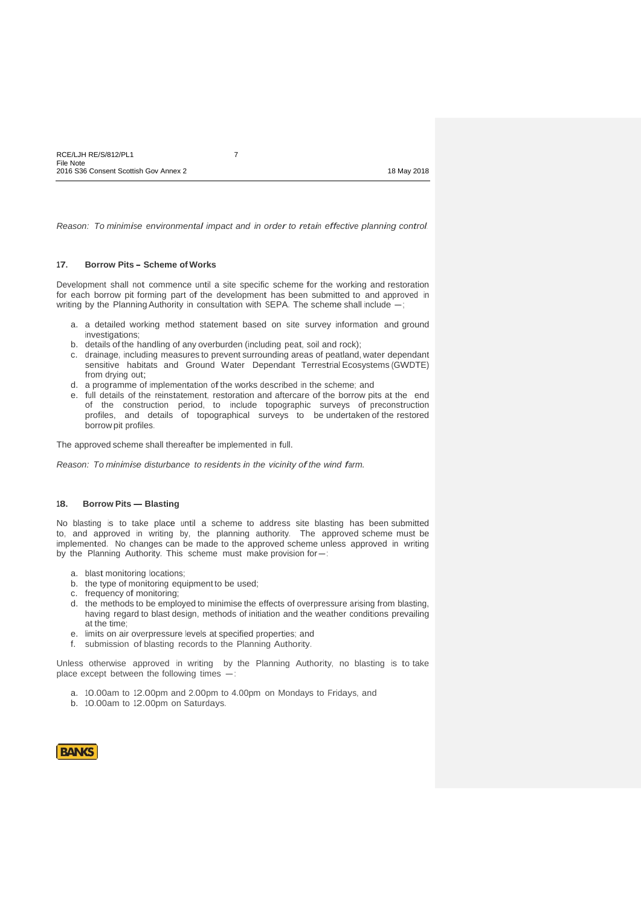*Reason: To minimise environmental impact and in order to retain effective planning control.*

### **17. Borrow Pits - Scheme of Works**

Development shall not commence until a site specific scheme for the working and restoration for each borrow pit forming part of the development has been submitted to and approved in writing by the Planning Authority in consultation with SEPA. The scheme shall include  $-$ ;

- a. a detailed working method statement based on site survey information and ground investigations;
- b. details of the handling of any overburden (including peat, soil and rock);
- c. drainage, including measures to prevent surrounding areas of peatland, water dependant sensitive habitats and Ground Water Dependant Terrestrial Ecosystems (GWDTE) from drying out;
- d. a programme of implementation of the works described in the scheme; and
- e. full details of the reinstatement, restoration and aftercare of the borrow pits at the end of the construction period, to include topographic surveys of preconstruction profiles, and details of topographical surveys to be undertaken of the restored borrow pit profiles.

The approved scheme shall thereafter be implemented in full.

*Reason: To minimise disturbance to residents in the vicinity ofthe wind farm.*

#### **18. Borrow Pits – Blasting**

No blasting is to take place until a scheme to address site blasting has been submitted to, and approved in writing by, the planning authority. The approved scheme must be implemented. No changes can be made to the approved scheme unless approved in writing by the Planning Authority. This scheme must make provision for-

- a. blast monitoring locations;
- b. the type of monitoring equipment to be used;
- c. frequency of monitoring;
- d. the methods to be employed to minimise the effects of overpressure arising from blasting, having regard to blast design, methods of initiation and the weather conditions prevailing at the time;
- e. limits on air overpressure levels at specified properties; and
- f. submission of blasting records to the Planning Authority.

Unless otherwise approved in writing by the Planning Authority, no blasting is to take<br>place except between the following times -:

- a. 10.00am to 12.00pm and 2.00pm to 4.00pm on Mondays to Fridays, and
- b. 10.00am to 12.00pm on Saturdays.

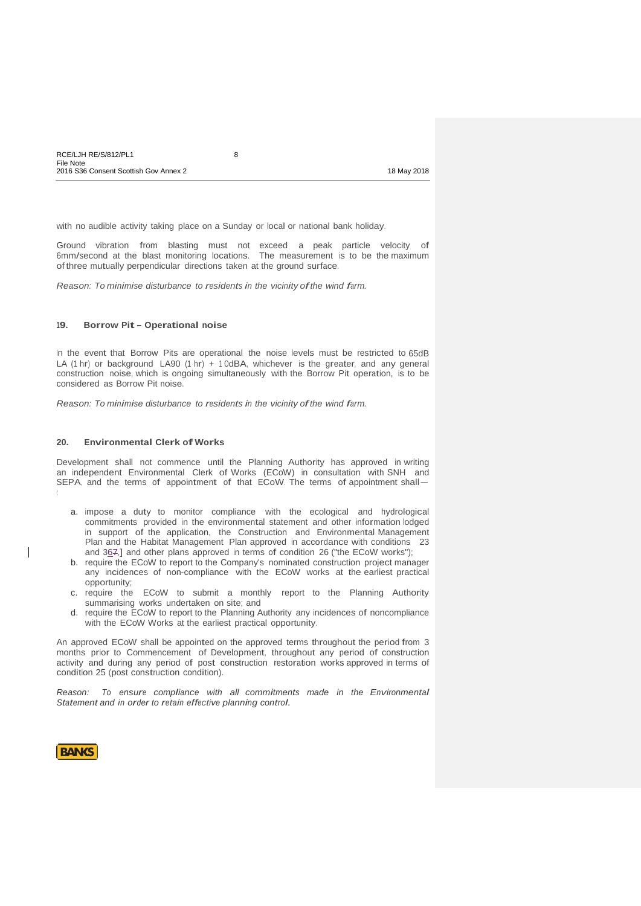| RCE/LJH RE/S/812/PL1                  |             |
|---------------------------------------|-------------|
| File Note                             |             |
| 2016 S36 Consent Scottish Gov Annex 2 | 18 May 2018 |

with no audible activity taking place on a Sunday or local or national bank holiday.

Ground vibration from blasting must not exceed a peak particle velocity of 6mm/second at the blast monitoring locations. The measurement is to be the maximum of three mutually perpendicular directions taken at the ground surface.

*Reason: To minimise disturbance to residents in the vicinity ofthe wind farm.*

#### **19. Borrow Pit- Operational noise**

In the event that Borrow Pits are operational the noise levels must be restricted to 65dB LA (1 hr) or background LA90 (1 hr) + 1 0dBA, whichever is the greater, and any general construction noise, which is ongoing simultaneously with the Borrow Pit operation, is to be considered as Borrow Pit noise.

*Reason: To minimise disturbance to residents in the vicinity ofthe wind farm.*

# **20. Environmental Clerk of Works**

Development shall not commence until the Planning Authority has approved in writing Development shall not commented until the Planning Authority has approved in whiting<br>an independent Environmental Clerk of Works (ECoW) in consultation with SNH and<br>SEPA, and the terms of appointment of that ECoW. The term

- a. impose a duty to monitor compliance with the ecological and hydrological commitments provided in the environmental statement and other information lodged in support of the application, the Construction and Environmental Management Plan and the Habitat Management Plan approved in accordance with conditions 23 and 367,] and other plans approved in terms of condition 26 ("the ECoW works");
- b. require the ECoW to report to the Company's nominated construction project manager any incidences of non-compliance with the ECoW works at the earliest practical opportunity;
- c. require the ECoW to submit a monthly report to the Planning Authority summarising works undertaken on site; and
- d. require the ECoW to report to the Planning Authority any incidences of noncompliance with the ECoW Works at the earliest practical opportunity.

An approved ECoW shall be appointed on the approved terms throughout the period from 3 months prior to Commencement of Development, throughout any period of construction activity and during any period of post construction restoration works approved in terms of condition 25 (post construction condition).

*Reason: To ensure compliance with all commitments made in the Environmental Statement and in order to retain effective planning control.*



: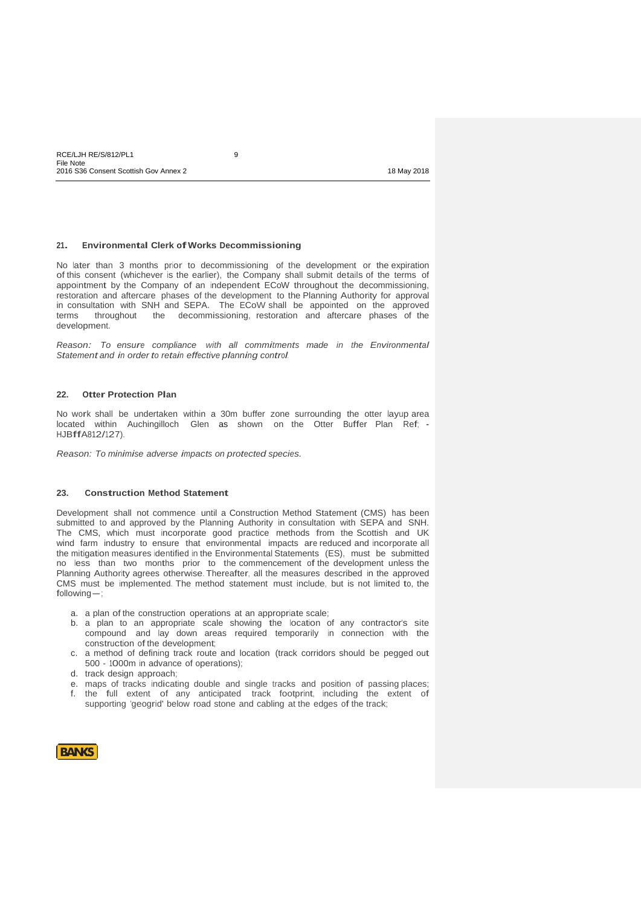# **21. Environmental Clerk ofWorks Decommissioning**

No later than 3 months prior to decommissioning of the development or the expiration of this consent (whichever is the earlier), the Company shall submit details of the terms of appointment by the Company of an independent ECoW throughout the decommissioning, restoration and aftercare phases of the development to the Planning Authority for approval in consultation with SNH and SEPA. The ECoW shall be appointed on the approved terms throughout the decommissioning, restoration and aftercare phases of the development.

*Reason: To ensure compliance with all commitments made in the Environmental Statement and in order to retain effective planning control.*

## **22. Otter Protection Plan**

No work shall be undertaken within a 30m buffer zone surrounding the otter layup area located within Auchingilloch Glen as shown on the Otter Buffer Plan Ref; - HJBffA812/127).

*Reason: To minimise adverse impacts on protected species.*

# **23. Construction Method Statement**

Development shall not commence until a Construction Method Statement (CMS) has been submitted to and approved by the Planning Authority in consultation with SEPA and SNH. The CMS, which must incorporate good practice methods from the Scottish and UK wind farm industry to ensure that environmental impacts are reduced and incorporate all the mitigation measures identified in the Environmental Statements (ES), must be submitted no less than two months prior to the commencement of the development unless the Planning Authority agrees otherwise. Thereafter, all the measures described in the approved Planning Authority agrees otherwise. Thereafter, all the measures described in the approved CMS must be implemented. The method statement must include, but is not limited to, the following-;

- a. a plan of the construction operations at an appropriate scale;
- b. a plan to an appropriate scale showing the location of any contractor's site compound and lay down areas required temporarily in connection with the construction of the development;
- c. a method of defining track route and location (track corridors should be pegged out 500 - 1000m in advance of operations);
- d. track design approach;
- e. maps of tracks indicating double and single tracks and position of passing places; f. the full extent of any anticipated track footprint, including the extent of
- supporting 'geogrid' below road stone and cabling at the edges of the track;

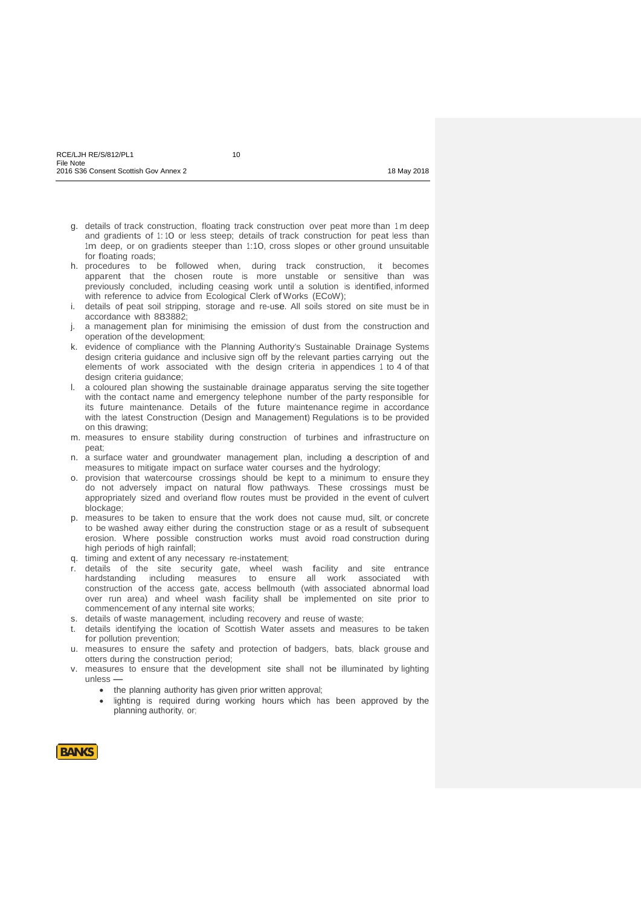- g. details of track construction, floating track construction over peat more than <sup>1</sup> m deep and gradients of 1: 10 or less steep; details of track construction for peat less than 1m deep, or on gradients steeper than 1:10, cross slopes or other ground unsuitable for floating roads;
- h. procedures to be followed when, during track construction, it becomes apparent that the chosen route is more unstable or sensitive than was previously concluded, including ceasing work until a solution is identified, informed with reference to advice from Ecological Clerk of Works (ECoW);
- i. details of peat soil stripping, storage and re-use. All soils stored on site must be in accordance with 883882;
- j. a management plan for minimising the emission of dust from the construction and operation of the development;
- k. evidence of compliance with the Planning Authority's Sustainable Drainage Systems design criteria guidance and inclusive sign off by the relevant parties carrying out the elements of work associated with the design criteria in appendices 1 to 4 of that design criteria guidance;
- l. a coloured plan showing the sustainable drainage apparatus serving the site together with the contact name and emergency telephone number of the party responsible for its future maintenance. Details of the future maintenance regime in accordance with the latest Construction (Design and Management) Regulations is to be provided on this drawing;
- m. measures to ensure stability during construction of turbines and infrastructure on peat;
- n. a surface water and groundwater management plan, including a description of and measures to mitigate impact on surface water courses and the hydrology;
- o. provision that watercourse crossings should be kept to a minimum to ensure they do not adversely impact on natural flow pathways. These crossings must be appropriately sized and overland flow routes must be provided in the event of culvert blockage;
- p. measures to be taken to ensure that the work does not cause mud, silt, or concrete to be washed away either during the construction stage or as a result of subsequent erosion. Where possible construction works must avoid road construction during high periods of high rainfall;
- q. timing and extent of any necessary re-instatement;
- r. details of the site security gate, wheel wash facility and site entrance hardstanding including measures to ensure all work associated with construction of the access gate, access bellmouth (with associated abnormal load over run area) and wheel wash facility shall be implemented on site prior to commencement of any internal site works;
- s. details of waste management, including recovery and reuse of waste;
- t. details identifying the location of Scottish Water assets and measures to be taken for pollution prevention;
- u. measures to ensure the safety and protection of badgers, bats, black grouse and otters during the construction period;
- v. measures to ensure that the development site shall not be illuminated by lighting unless –
	- the planning authority has given prior written approval;
	- lighting is required during working hours which has been approved by the planning authority, or;

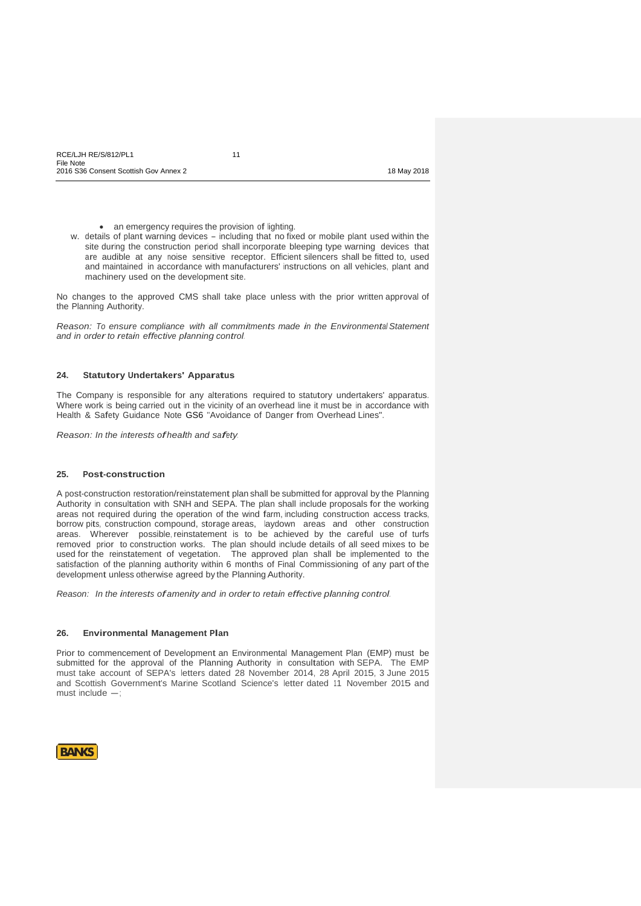an emergency requires the provision of lighting.

w. details of plant warning devices - including that no fixed or mobile plant used within the site during the construction period shall incorporate bleeping type warning devices that are audible at any noise sensitive receptor. Efficient silencers shall be fitted to, used and maintained in accordance with manufacturers' instructions on all vehicles, plant and machinery used on the development site.

No changes to the approved CMS shall take place unless with the prior written approval of the Planning Authority.

*Reason: To ensure compliance with all commitments made in the Environmental Statement and in orderto retain effective planning control.*

# **24. Statutory Undertakers' Apparatus**

The Company is responsible for any alterations required to statutory undertakers' apparatus. Where work is being carried out in the vicinity of an overhead line it must be in accordance with Health & Safety Guidance Note GS6 "Avoidance of Danger from Overhead Lines".

*Reason: In the interests ofhealth and safety.*

#### **25. Post-construction**

A post-construction restoration/reinstatement plan shall be submitted for approval by the Planning Authority in consultation with SNH and SEPA. The plan shall include proposals for the working areas not required during the operation of the wind farm, including construction access tracks, borrow pits, construction compound, storage areas, laydown areas and other construction areas. Wherever possible, reinstatement is to be achieved by the careful use of turfs removed prior to construction works. The plan should include details of all seed mixes to be used for the reinstatement of vegetation. The approved plan shall be implemented to the satisfaction of the planning authority within 6 months of Final Commissioning of any part of the development unless otherwise agreed by the Planning Authority.

*Reason: In the interests ofamenity and in orderto retain effective planning control.*

#### **26. Environmental Management Plan**

Prior to commencement of Development an Environmental Management Plan (EMP) must be submitted for the approval of the Planning Authority in consultation with SEPA. The EMP must take account of SEPA's letters dated 28 November 2014, 28 April 2015, 3 June 2015 Finds take account of SEPA's letters dated 26 November 2014, 26 April 2015, 3 Julie 2015<br>and Scottish Government's Marine Scotland Science's letter dated 11 November 2015 and<br>must include -;

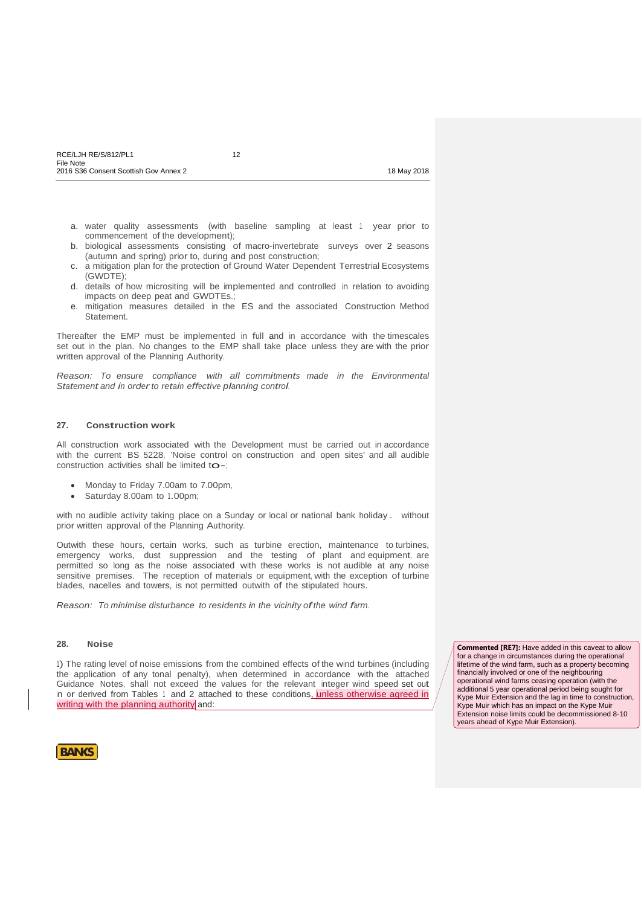- 
- a. water quality assessments (with baseline sampling at least 1 year prior to commencement of the development);
- b. biological assessments consisting of macro-invertebrate surveys over 2 seasons (autumn and spring) prior to, during and post construction;
- c. a mitigation plan for the protection of Ground Water Dependent Terrestrial Ecosystems (GWDTE);
- d. details of how micrositing will be implemented and controlled in relation to avoiding impacts on deep peat and GWDTEs.;
- e. mitigation measures detailed in the ES and the associated Construction Method Statement.

Thereafter the EMP must be implemented in full and in accordance with the timescales set out in the plan. No changes to the EMP shall take place unless they are with the prior written approval of the Planning Authority.

*Reason: To ensure compliance with all commitments made in the Environmental Statement and in orderto retain effective planning control.*

### **27. Construction work**

All construction work associated with the Development must be carried out in accordance with the current BS 5228, 'Noise control on construction and open sites' and all audible construction activities shall be limited to -;

- Monday to Friday 7.00am to 7.00pm,
- Saturday 8.00am to 1.00pm;

with no audible activity taking place on <sup>a</sup> Sunday or local or national bank holiday. without prior written approval of the Planning Authority.

Outwith these hours, certain works, such as turbine erection, maintenance to turbines, emergency works, dust suppression and the testing of plant and equipment, are permitted so long as the noise associated with these works is not audible at any noise sensitive premises. The reception of materials or equipment, with the exception of turbine blades, nacelles and towers, is not permitted outwith of the stipulated hours.

*Reason: To minimise disturbance to residents in the vicinity ofthe wind farm.*

### **28. Noise**

1) The rating level of noise emissions from the combined effects of the wind turbines (including the application of any tonal penalty), when determined in accordance with the attached Guidance Notes, shall not exceed the values for the relevant integer wind speed set out in or derived from Tables 1 and 2 attached to these conditions, unless otherwise agreed in writing with the planning authority and:

**Commented [RE7]:** Have added in this caveat to allow for a change in circumstances during the operational lifetime of the wind farm, such as a property becoming financially involved or one of the neighbouring operational wind farms ceasing operation (with the additional 5 year operational period being sought for Kype Muir Extension and the lag in time to construction, Kype Muir which has an impact on the Kype Muir Extension noise limits could be decommissioned 8-10 years ahead of Kype Muir Extension).

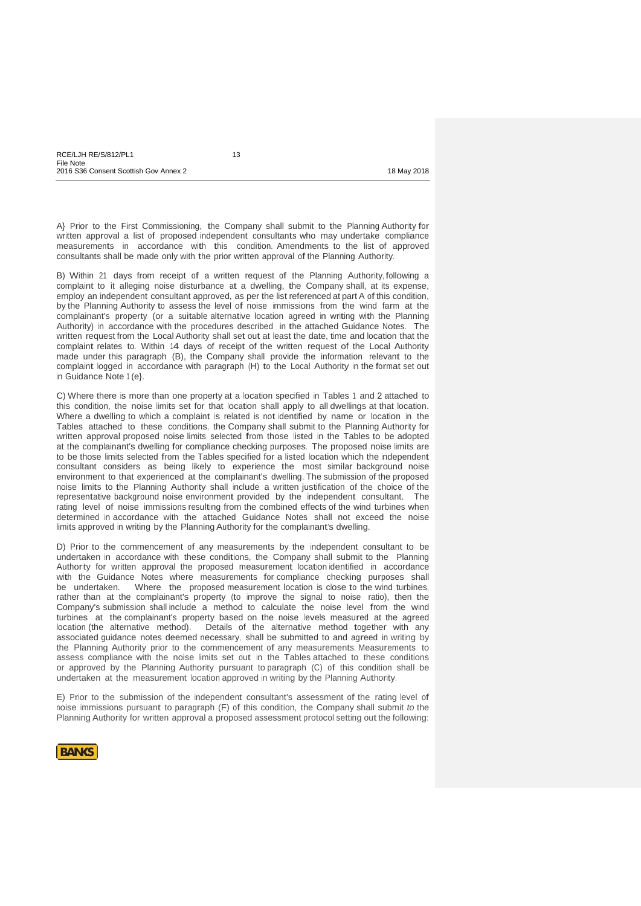A} Prior to the First Commissioning, the Company shall submit to the Planning Authority for written approval a list of proposed independent consultants who may undertake compliance measurements in accordance with this condition. Amendments to the list of approved consultants shall be made only with the prior written approval of the Planning Authority.

B) Within 21 days from receipt of a written request of the Planning Authority, following a complaint to it alleging noise disturbance at a dwelling, the Company shall, at its expense, employ an independent consultant approved, as per the list referenced at part A of this condition, by the Planning Authority to assess the level of noise immissions from the wind farm at the complainant's property (or a suitable alternative location agreed in writing with the Planning Authority) in accordance with the procedures described in the attached Guidance Notes. The written request from the Local Authority shall set out at least the date, time and location that the complaint relates to. Within 14 days of receipt of the written request of the Local Authority made under this paragraph (B), the Company shall provide the information relevant to the complaint logged in accordance with paragraph (H) to the Local Authority in the format set out in Guidance Note 1 (e}.

C) Where there is more than one property at a location specified in Tables 1 and 2 attached to this condition, the noise limits set for that location shall apply to all dwellings at that location. Where a dwelling to which a complaint is related is not identified by name or location in the Tables attached to these conditions, the Company shall submit to the Planning Authority for written approval proposed noise limits selected from those listed in the Tables to be adopted at the complainant's dwelling for compliance checking purposes. The proposed noise limits are to be those limits selected from the Tables specified for a listed location which the independent consultant considers as being likely to experience the most similar background noise environment to that experienced at the complainant's dwelling. The submission of the proposed noise limits to the Planning Authority shall include a written justification of the choice of the representative background noise environment provided by the independent consultant. The rating level of noise immissions resulting from the combined effects of the wind turbines when determined in accordance with the attached Guidance Notes shall not exceed the noise limits approved in writing by the Planning Authority for the complainant's dwelling.

D) Prior to the commencement of any measurements by the independent consultant to be undertaken in accordance with these conditions, the Company shall submit to the Planning Authority for written approval the proposed measurement location identified in accordance with the Guidance Notes where measurements for compliance checking purposes shall<br>be undertaken. Where the proposed measurement location is close to the wind turbines. Where the proposed measurement location is close to the wind turbines, rather than at the complainant's property (to improve the signal to noise ratio), then the Company's submission shall include a method to calculate the noise level from the wind turbines at the complainant's property based on the noise levels measured at the agreed location (the alternative method). Details of the alternative method together with any associated guidance notes deemed necessary, shall be submitted to and agreed in writing by the Planning Authority prior to the commencement of any measurements. Measurements to assess compliance with the noise limits set out in the Tables attached to these conditions or approved by the Planning Authority pursuant to paragraph (C) of this condition shall be undertaken at the measurement location approved in writing by the Planning Authority.

E) Prior to the submission of the independent consultant's assessment of the rating level of noise immissions pursuant to paragraph (F) of this condition, the Company shall submit *to* the Planning Authority for written approval a proposed assessment protocol setting out the following:

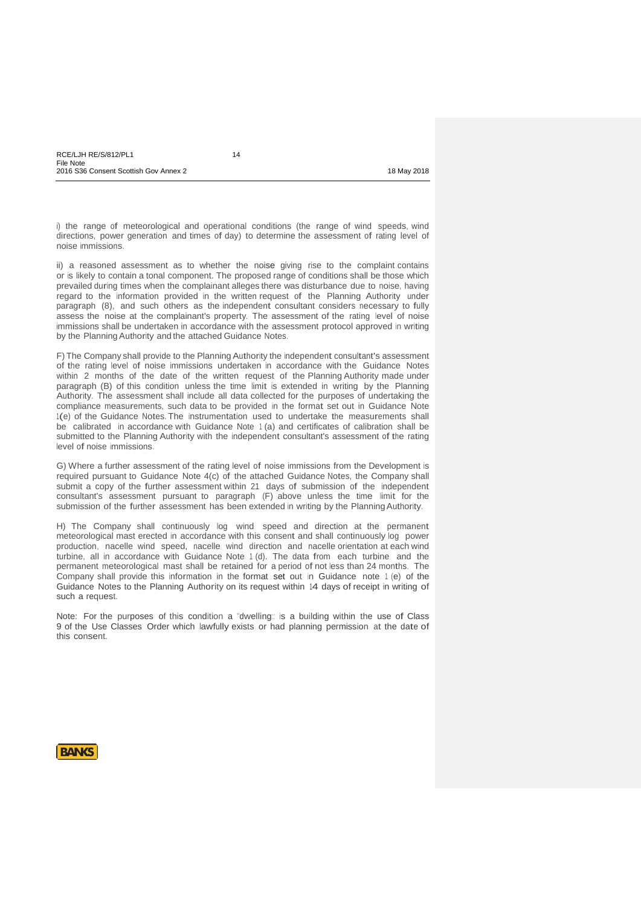i) the range of meteorological and operational conditions (the range of wind speeds, wind directions, power generation and times of day) to determine the assessment of rating level of noise immissions.

ii) a reasoned assessment as to whether the noise giving rise to the complaint contains or is likely to contain a tonal component. The proposed range of conditions shall be those which prevailed during times when the complainant alleges there was disturbance due to noise, having regard to the information provided in the written request of the Planning Authority under paragraph (8), and such others as the independent consultant considers necessary to fully assess the noise at the complainant's property. The assessment of the rating level of noise immissions shall be undertaken in accordance with the assessment protocol approved in writing by the Planning Authority and the attached Guidance Notes.

F) The Company shall provide to the Planning Authority the independent consultant's assessment of the rating level of noise immissions undertaken in accordance with the Guidance Notes within 2 months of the date of the written request of the Planning Authority made under paragraph (B) of this condition unless the time limit is extended in writing by the Planning Authority. The assessment shall include all data collected for the purposes of undertaking the compliance measurements, such data to be provided in the format set out in Guidance Note 1(e) of the Guidance Notes. The instrumentation used to undertake the measurements shall be calibrated in accordance with Guidance Note <sup>1</sup> (a) and certificates of calibration shall be submitted to the Planning Authority with the independent consultant's assessment of the rating level of noise immissions.

G) Where a further assessment of the rating level of noise immissions from the Development is required pursuant to Guidance Note 4(c) of the attached Guidance Notes, the Company shall submit a copy of the further assessment within <sup>21</sup> days of submission of the independent consultant's assessment pursuant to paragraph (F) above unless the time limit for the submission of the further assessment has been extended in writing by the PlanningAuthority.

H) The Company shall continuously log wind speed and direction at the permanent meteorological mast erected in accordance with this consent and shall continuously log power production, nacelle wind speed, nacelle wind direction and nacelle orientation at each wind turbine, all in accordance with Guidance Note <sup>1</sup> (d). The data from each turbine and the permanent meteorological mast shall be retained for a period of not less than 24 months. The Company shall provide this information in the format set out in Guidance note <sup>1</sup> (e) of the Guidance Notes to the Planning Authority on its request within 14 days of receipt in writing of such a request.

Note: For the purposes of this condition a "dwelling: is a building within the use of Class 9 of the Use Classes Order which lawfully exists or had planning permission at the date of this consent.

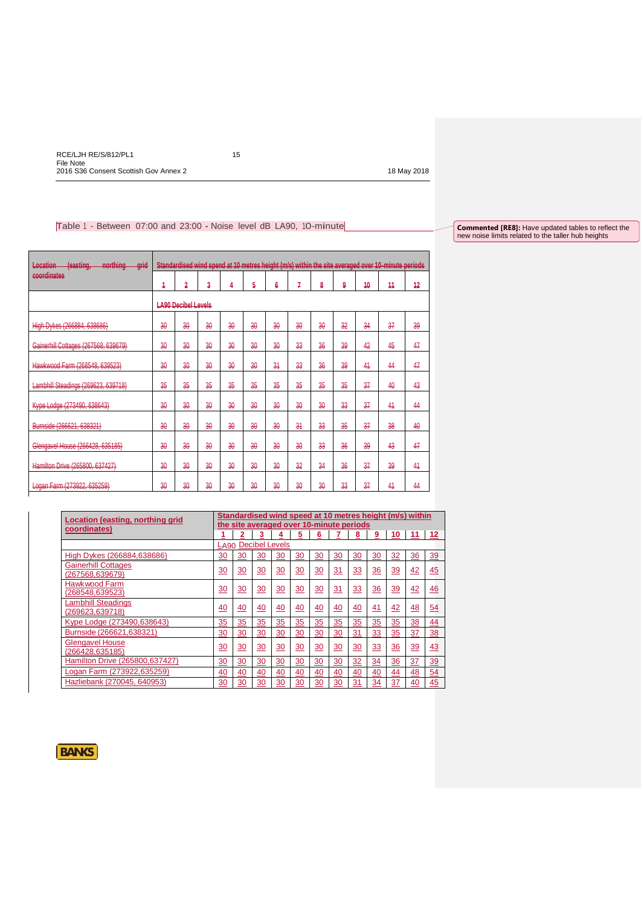$\mathbf{r}$ 

# Table 1 - Between 07:00 and 23:00 - Noise level dB LA90, 10-minute

**Commented [RE8]:** Have updated tables to reflect the new noise limits related to the taller hub heights

| (easting,<br>northing<br>Location<br>grid<br><del>livitimiy</del> | Standardised wind spend at 10 metres height (m/s) within the site averaged over 10-minute periods |              |    |              |              |    |    |    |    |    |    |    |
|-------------------------------------------------------------------|---------------------------------------------------------------------------------------------------|--------------|----|--------------|--------------|----|----|----|----|----|----|----|
| coordinates                                                       | 4                                                                                                 | 2            | 3  | 4            | 5            | 6  | 7  | 8  | 9  | 40 | 44 | 42 |
|                                                                   | <b>LA90 Decibel Levels</b>                                                                        |              |    |              |              |    |    |    |    |    |    |    |
| High Dykes (266884, 638686)                                       | 30                                                                                                | 30           | 30 | 30           | 30           | 30 | 30 | 30 | 32 | 34 | 37 | 39 |
| Gainerhill Cottages (267568, 639679)                              | 30                                                                                                | 30           | 30 | 30           | 30           | 30 | 33 | 36 | 39 | 42 | 45 | 47 |
| Hawkwood Farm (268548, 639523)                                    | 30                                                                                                | 30           | 30 | 30           | 30           | 34 | 33 | 36 | 39 | 44 | 44 | 47 |
| Lambhill Steadings (269623, 639718)                               | 35                                                                                                | 35           | 35 | 35           | 35           | 35 | 35 | 35 | 35 | 37 | 40 | 43 |
| Kype Lodge (273490, 638643)                                       | $\frac{20}{20}$                                                                                   | $30^{\circ}$ | 30 | $30^{\circ}$ | $30^{\circ}$ | 30 | 30 | 30 | 33 | 37 | 44 | 44 |
| Burnside (266621, 638321)                                         | 30                                                                                                | 30           | 30 | 30           | 30           | 30 | 34 | 33 | 35 | 37 | 38 | 40 |
| Glengavel House (266428, 635185)                                  | 30                                                                                                | 30           | 30 | 30           | 30           | 30 | 30 | 33 | 36 | 39 | 43 | 47 |
| Hamilton Drive (265800, 637427)                                   | 30                                                                                                | 30           | 30 | $30^{\circ}$ | 30           | 30 | 32 | 34 | 36 | 37 | 39 | 44 |
| Logan Farm (273922, 635259)                                       | 30                                                                                                | 30           | 30 | 30           | 30           | 30 | 30 | 30 | 33 | 37 | 44 | 44 |

| Standardised wind speed at 10 metres height (m/s) within<br>Location (easting, northing grid |                                          |                 |                       |                 |                 |                 |           |           |                |           |           |                 |  |
|----------------------------------------------------------------------------------------------|------------------------------------------|-----------------|-----------------------|-----------------|-----------------|-----------------|-----------|-----------|----------------|-----------|-----------|-----------------|--|
| coordinates)                                                                                 | the site averaged over 10-minute periods |                 |                       |                 |                 |                 |           |           |                |           |           |                 |  |
|                                                                                              |                                          | 2               | 3                     | ₹               | <u>5</u>        | $6\overline{6}$ |           | <u>8</u>  | 9              | 10        | 11        | <u>12</u>       |  |
|                                                                                              | LA90                                     |                 | <b>Decibel Levels</b> |                 |                 |                 |           |           |                |           |           |                 |  |
| High Dykes (266884,638686)                                                                   | 30                                       | 30              | 30                    | 30              | 30              | 30              | 30        | 30        | 30             | 32        | 36        | 39              |  |
| <b>Gainerhill Cottages</b><br>(267568,639679)                                                | 30                                       | 30              | 30                    | 30              | 30              | 30              | 31        | 33        | 36             | 39        | 42        | 45              |  |
| Hawkwood Farm<br>(268548,639523)                                                             | 30                                       | 30              | 30                    | 30              | 30              | 30              | 31        | 33        | 36             | 39        | 42        | 46              |  |
| <b>Lambhill Steadings</b><br>(269623,639718)                                                 | 40                                       | <u>40</u>       | 40                    | 40              | 40              | $\overline{40}$ | 40        | 40        | <u>41</u>      | 42        | 48        | 54              |  |
| Kype Lodge (273490,638643)                                                                   | 35                                       | 35              | 35                    | 35              | 35              | 35              | 35        | 35        | 35             | 35        | 38        | $\overline{44}$ |  |
| Burnside (266621,638321)                                                                     | 30                                       | 30              | 30                    | 30              | 30              | 30              | 30        | 31        | 33             | 35        | 37        | <u>38</u>       |  |
| <b>Glengavel House</b><br>(266428, 635185)                                                   | 30                                       | 30              | 30                    | 30              | 30              | 30              | 30        | 30        | 33             | 36        | 39        | 43              |  |
| Hamilton Drive (265800,637427)                                                               | $\frac{30}{2}$                           | $\overline{30}$ | 30                    | $\overline{30}$ | $\overline{30}$ | $\overline{30}$ | <u>30</u> | <u>32</u> | $\frac{34}{5}$ | 36        | <u>37</u> | $\frac{39}{2}$  |  |
| Logan Farm (273922,635259)                                                                   | 40                                       | 40              | 40                    | 40              | $\overline{40}$ | $\frac{40}{5}$  | 40        | 40        | 40             | <u>44</u> | 48        | $\frac{54}{5}$  |  |
| Hazliebank (270045, 640953)                                                                  | 30                                       | 30              | 30                    | $\frac{30}{2}$  | 30              | 30              | 30        | 31        | 34             | 37        | 40        | $\frac{45}{5}$  |  |

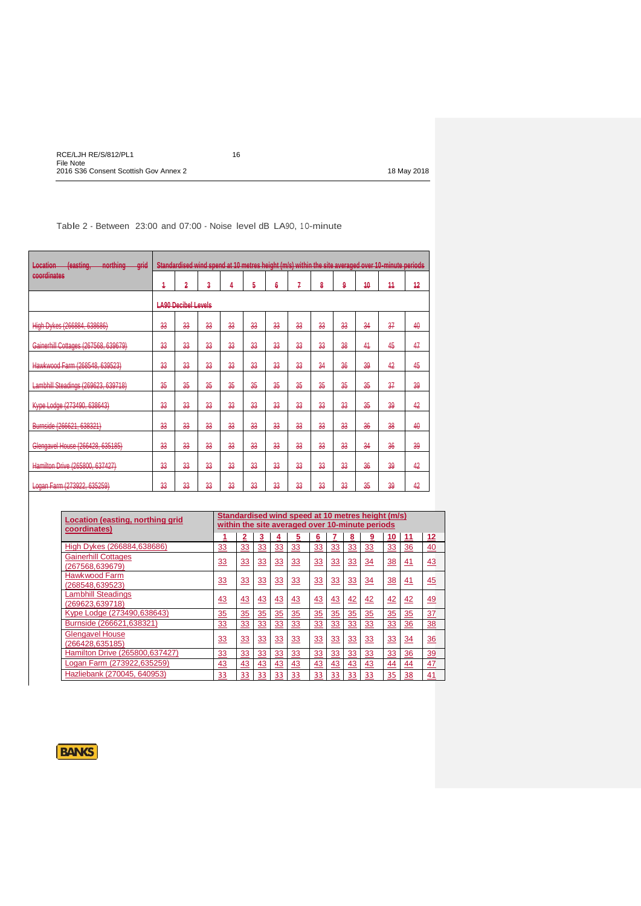Table 2 - Between 23:00 and 07:00 - Noise level dB LA9O, <sup>1</sup> O-minute

| <i>lageting</i><br>northing<br>Location<br>grid<br><b>CONTACT AND INCOME.</b><br>leannial i<br>moraning |                            |    |    |    |    |    |    |    |    |    | Standardised wind spend at 10 metres height (m/s) within the site averaged over 10-minute periods |    |
|---------------------------------------------------------------------------------------------------------|----------------------------|----|----|----|----|----|----|----|----|----|---------------------------------------------------------------------------------------------------|----|
| coordinates                                                                                             | 4                          | 2  | 3  | 4  | 5  | 6  | 7  | 8  | 9  | 40 | 44                                                                                                | 42 |
|                                                                                                         | <b>LA90 Decibel Levels</b> |    |    |    |    |    |    |    |    |    |                                                                                                   |    |
| High Dykes (266884, 638686)                                                                             | 33                         | 33 | 33 | 33 | 33 | 33 | 33 | 33 | 33 | 34 | 37                                                                                                | 40 |
| Gainerhill Cottages (267568, 639679)                                                                    | 33                         | 33 | 33 | 33 | 33 | 33 | 33 | 33 | 38 | 44 | 45                                                                                                | 47 |
| Hawkwood Farm (268548, 639523)                                                                          | 33                         | 33 | 33 | 33 | 33 | 33 | 33 | 34 | 36 | 39 | 42                                                                                                | 45 |
| Lambhill Steadings (269623, 639718)                                                                     | 35                         | 35 | 35 | 35 | 35 | 35 | 35 | 35 | 35 | 35 | 37                                                                                                | 39 |
| Kype Lodge (273490, 638643)                                                                             | 33                         | 33 | 33 | 33 | 33 | 33 | 33 | 33 | 33 | 35 | 39                                                                                                | 42 |
| Burnside (266621, 638321)                                                                               | 33                         | 33 | 33 | 33 | 33 | 33 | 33 | 33 | 33 | 36 | 38                                                                                                | 40 |
| Glengavel House (266428, 635185)                                                                        | 33                         | 33 | 33 | 33 | 33 | 33 | 33 | 33 | 33 | 34 | 36                                                                                                | 39 |
| Hamilton Drive (265800, 637427)                                                                         | 33                         | 33 | 33 | 33 | 33 | 33 | 33 | 33 | 33 | 36 | 39                                                                                                | 42 |
| Logan Farm (273922, 635259)                                                                             | 33                         | 33 | 33 | 33 | 33 | 33 | 33 | 33 | 33 | 35 | 39                                                                                                | 42 |

| Location (easting, northing grid<br>coordinates) |                |    |    |           |           |           |           | Standardised wind speed at 10 metres height (m/s)<br>within the site averaged over 10-minute periods |                |           |                |                |  |  |  |
|--------------------------------------------------|----------------|----|----|-----------|-----------|-----------|-----------|------------------------------------------------------------------------------------------------------|----------------|-----------|----------------|----------------|--|--|--|
|                                                  |                | 2  | 3  | 4         | 5         | 6         |           | 8                                                                                                    | 9              | 10        | 11             | 12             |  |  |  |
| High Dykes (266884,638686)                       | <u>33</u>      | 33 | 33 | <u>33</u> | <u>33</u> | <u>33</u> | 33        | <u>33</u>                                                                                            | <u>33</u>      | 33        | <u>36</u>      | 40             |  |  |  |
| <b>Gainerhill Cottages</b><br>(267568,639679)    | 33             | 33 | 33 | 33        | 33        | 33        | 33        | 33                                                                                                   | 34             | 38        | 41             | 43             |  |  |  |
| Hawkwood Farm<br>(268548,639523)                 | 33             | 33 | 33 | 33        | 33        | 33        | 33        | 33                                                                                                   | 34             | 38        | 41             | 45             |  |  |  |
| <b>Lambhill Steadings</b><br>(269623, 639718)    | 43             | 43 | 43 | 43        | 43        | 43        | 43        | 42                                                                                                   | 42             | 42        | 42             | 49             |  |  |  |
| Kype Lodge (273490,638643)                       | $\frac{35}{5}$ | 35 | 35 | 35        | 35        | 35        | 35        | $\overline{35}$                                                                                      | $\frac{35}{5}$ | 35        | 35             | $\frac{37}{2}$ |  |  |  |
| Burnside (266621,638321)                         | <u>33</u>      | 33 | 33 | 33        | 33        | <u>33</u> | <u>33</u> | <u>33</u>                                                                                            | 33             | <u>33</u> | $\frac{36}{5}$ | <u>38</u>      |  |  |  |
| <b>Glengavel House</b><br>(266428,635185)        | 33             | 33 | 33 | 33        | 33        | 33        | 33        | <u>33</u>                                                                                            | 33             | 33        | 34             | 36             |  |  |  |
| Hamilton Drive (265800,637427)                   | 33             | 33 | 33 | 33        | 33        | 33        | 33        | 33                                                                                                   | 33             | 33        | 36             | $\frac{39}{2}$ |  |  |  |
| Logan Farm (273922,635259)                       | 43             | 43 | 43 | 43        | 43        | 43        | 43        | 43                                                                                                   | 43             | 44        | 44             | 47             |  |  |  |
| Hazliebank (270045, 640953)                      | 33             | 33 | 33 | 33        | 33        | 33        | 33        | 33                                                                                                   | 33             | 35        | 38             | 41             |  |  |  |

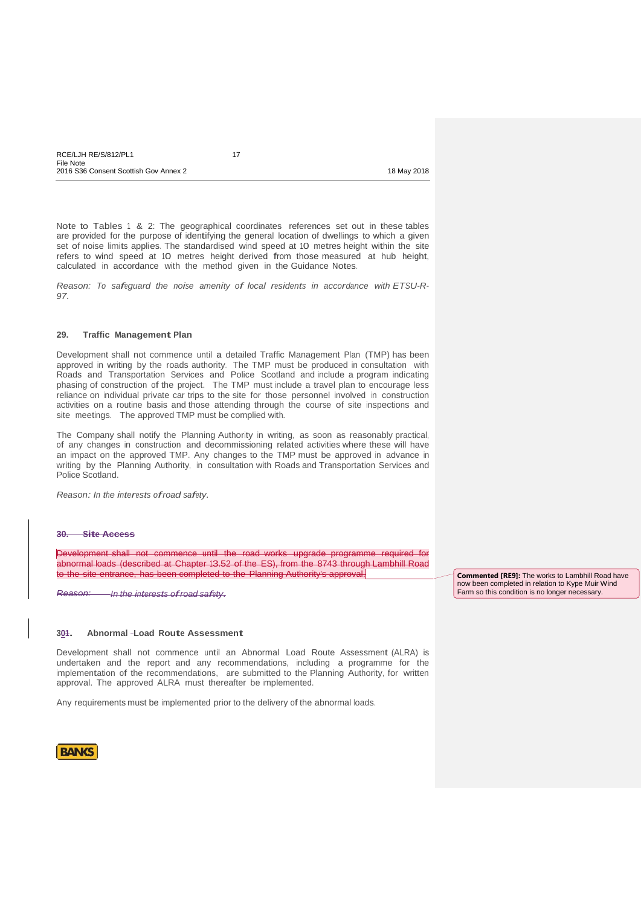| RCE/LJH RE/S/812/PL1                  |             |
|---------------------------------------|-------------|
| File Note                             |             |
| 2016 S36 Consent Scottish Gov Annex 2 | 18 May 2018 |

Note to Tables 1 & 2: The geographical coordinates references set out in these tables are provided for the purpose of identifying the general location of dwellings to which a given set of noise limits applies. The standardised wind speed at 10 metres height within the site refers to wind speed at 10 metres height derived from those measured at hub height, calculated in accordance with the method given in the Guidance Notes.

*Reason: To safeguard the noise amenity of local residents in accordance with ETSU-R-97.*

# **29. Traffic Management Plan**

Development shall not commence until a detailed Traffic Management Plan (TMP) has been approved in writing by the roads authority. The TMP must be produced in consultation with Roads and Transportation Services and Police Scotland and include a program indicating phasing of construction of the project. The TMP must include a travel plan to encourage less reliance on individual private car trips to the site for those personnel involved in construction activities on a routine basis and those attending through the course of site inspections and site meetings. The approved TMP must be complied with.

The Company shall notify the Planning Authority in writing, as soon as reasonably practical, of any changes in construction and decommissioning related activities where these will have an impact on the approved TMP. Any changes to the TMP must be approved in advance in writing by the Planning Authority, in consultation with Roads and Transportation Services and Police Scotland.

*Reason: In the interests ofroad safety.*

### **30. Site Access**

Development shall not commence until the road works upgrade programme required for abnormal loads (described at Chapter 13.52 of the ES), from the 8743 through Lambhill Road to the site entrance, has been completed to the Planning Authority's approval.

*Reason: In the interests ofroad safety.*

#### **301. Abnormal Load Route Assessment**

Development shall not commence until an Abnormal Load Route Assessment (ALRA) is undertaken and the report and any recommendations, including a programme for the implementation of the recommendations, are submitted to the Planning Authority, for written approval. The approved ALRA must thereafter be implemented.

Any requirements must be implemented prior to the delivery of the abnormal loads.



**Commented [RE9]:** The works to Lambhill Road have now been completed in relation to Kype Muir Wind Farm so this condition is no longer necessary.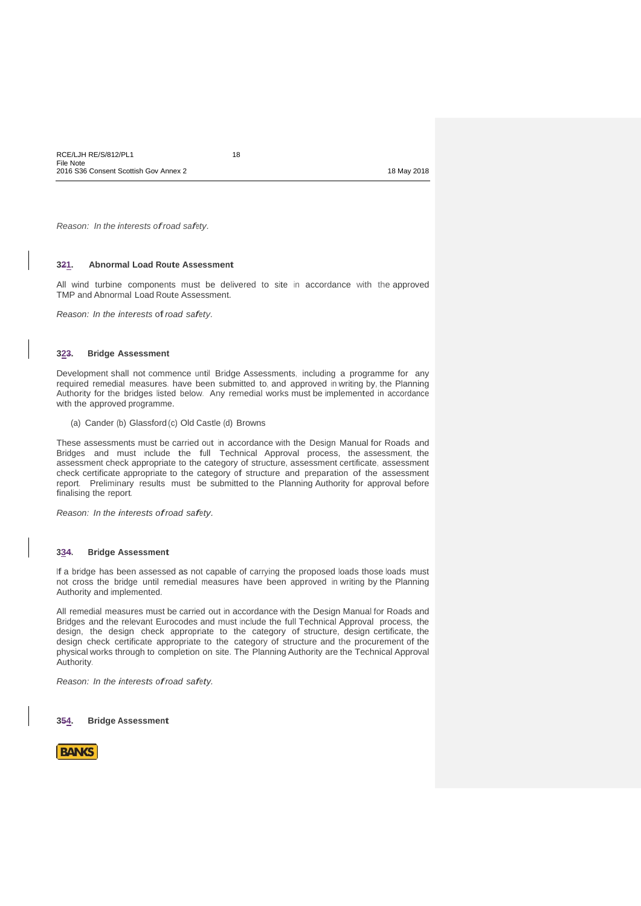*Reason: In the interests ofroad safety.*

#### **321. Abnormal Load Route Assessment**

All wind turbine components must be delivered to site in accordance with the approved TMP and Abnormal Load Route Assessment.

*Reason: In the interests* of*road safety.*

#### **323. Bridge Assessment**

Development shall not commence until Bridge Assessments, including a programme for any required remedial measures. have been submitted to, and approved in writing by, the Planning Authority for the bridges listed below. Any remedial works must be implemented in accordance with the approved programme.

(a) Cander (b) Glassford (c) Old Castle (d) Browns

These assessments must be carried out in accordance with the Design Manual for Roads and Bridges and must include the full Technical Approval process, the assessment, the assessment check appropriate to the category of structure, assessment certificate, assessment check certificate appropriate to the category of structure and preparation of the assessment report. Preliminary results must be submitted to the Planning Authority for approval before finalising the report.

*Reason: In the interests ofroad safety.*

#### **334. Bridge Assessment**

If a bridge has been assessed as not capable of carrying the proposed loads those loads must not cross the bridge until remedial measures have been approved in writing by the Planning Authority and implemented.

All remedial measures must be carried out in accordance with the Design Manual for Roads and Bridges and the relevant Eurocodes and must include the full Technical Approval process, the design, the design check appropriate to the category of structure, design certificate, the design check certificate appropriate to the category of structure and the procurement of the physical works through to completion on site. The Planning Authority are the Technical Approval Authority.

*Reason: In the interests ofroad safety.*

**354. Bridge Assessment**

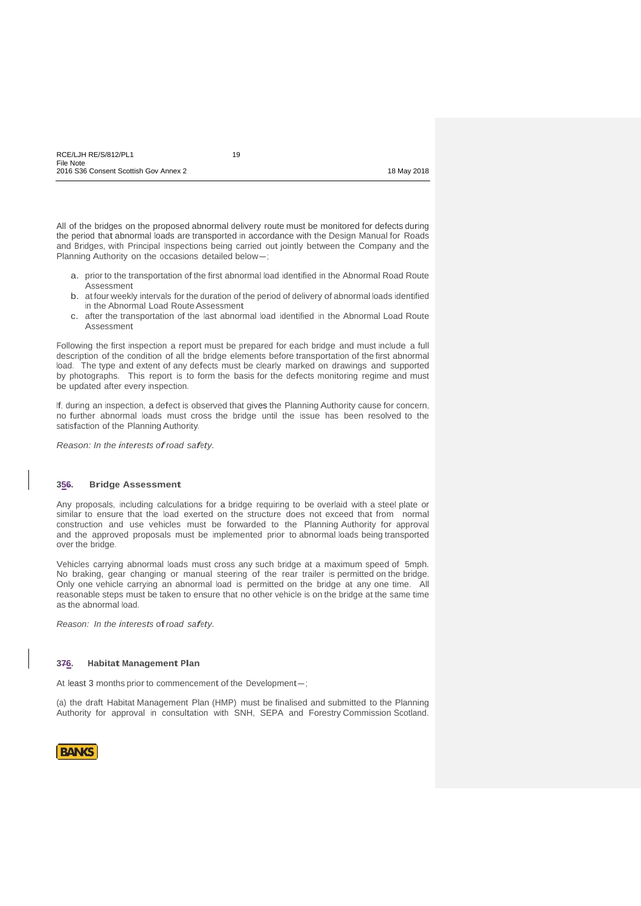All of the bridges on the proposed abnormal delivery route must be monitored for defects during the period that abnormal loads are transported in accordance with the Design Manual for Roads and Bridges, with Principal Inspections being carried out jointly between the Company and the Planning Authority on the occasions detailed below-;

- a. prior to the transportation of the first abnormal load identified in the Abnormal Road Route Assessment
- b. at four weekly intervals for the duration of the period of delivery of abnormal loads identified in the Abnormal Load Route Assessment
- c. after the transportation of the last abnormal load identified in the Abnormal Load Route Assessment

Following the first inspection a report must be prepared for each bridge and must include a full description of the condition of all the bridge elements before transportation of the first abnormal load. The type and extent of any defects must be clearly marked on drawings and supported by photographs. This report is to form the basis for the defects monitoring regime and must be updated after every inspection.

If, during an inspection, a defect is observed that gives the Planning Authority cause for concern, no further abnormal loads must cross the bridge until the issue has been resolved to the satisfaction of the Planning Authority.

*Reason: In the interests ofroad safety.*

### **356. Bridge Assessment**

Any proposals, including calculations for a bridge requiring to be overlaid with a steel plate or similar to ensure that the load exerted on the structure does not exceed that from normal construction and use vehicles must be forwarded to the Planning Authority for approval and the approved proposals must be implemented prior to abnormal loads being transported over the bridge.

Vehicles carrying abnormal loads must cross any such bridge at a maximum speed of 5mph. No braking, gear changing or manual steering of the rear trailer is permitted on the bridge. Only one vehicle carrying an abnormal load is permitted on the bridge at any one time. All reasonable steps must be taken to ensure that no other vehicle is on the bridge at the same time as the abnormal load.

*Reason: In the interests* of*road safety.*

#### **376. Habitat Management Plan**

At least 3 months prior to commencement of the Development-;

(a) the draft Habitat Management Plan (HMP) must be finalised and submitted to the Planning Authority for approval in consultation with SNH, SEPA and Forestry Commission Scotland.

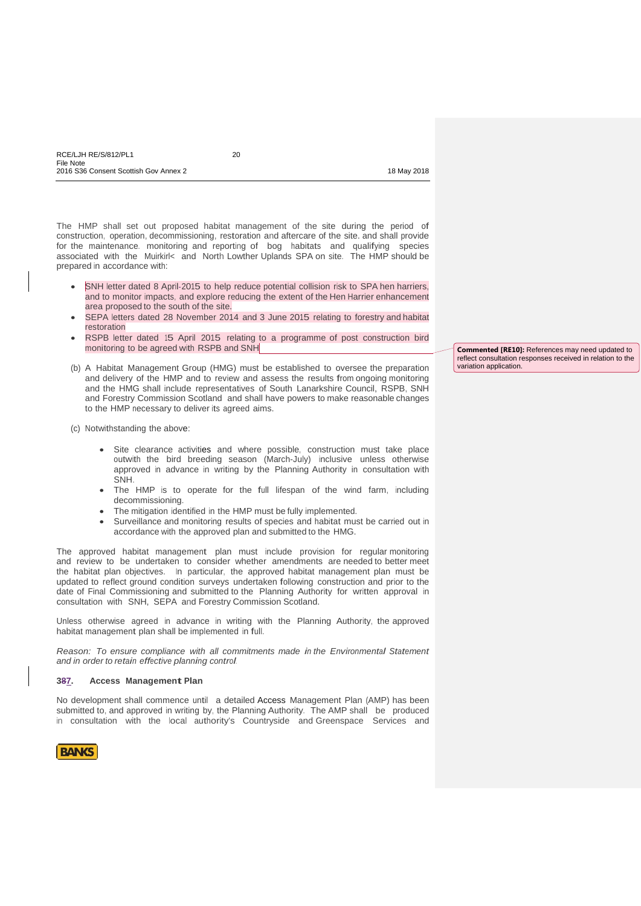The HMP shall set out proposed habitat management of the site during the period of construction, operation, decommissioning, restoration and aftercare of the site. and shall provide for the maintenance. monitoring and reporting of bog habitats and qualifying species associated with the Muirkirl< and North Lowther Uplands SPA on site. The HMP should be prepared in accordance with:

- SNH letter dated 8 April-2015 to help reduce potential collision risk to SPA hen harriers, and to monitor impacts, and explore reducing the extent of the Hen Harrier enhancement area proposed to the south of the site.
- SEPA letters dated 28 November 2014 and 3 June 2015 relating to forestry and habitat restoration
- RSPB letter dated 15 April 2015 relating to a programme of post construction bird monitoring to be agreed with RSPB and SNH
- (b) A Habitat Management Group (HMG) must be established to oversee the preparation and delivery of the HMP and to review and assess the results from ongoing monitoring and the HMG shall include representatives of South Lanarkshire Council, RSPB, SNH and Forestry Commission Scotland and shall have powers to make reasonable changes to the HMP necessary to deliver its agreed aims.
- (c) Notwithstanding the above:
	- Site clearance activities and where possible, construction must take place outwith the bird breeding season (March-July) inclusive unless otherwise approved in advance in writing by the Planning Authority in consultation with SNH.
	- The HMP is to operate for the full lifespan of the wind farm, including decommissioning.
	- The mitigation identified in the HMP must be fully implemented.
	- Surveillance and monitoring results of species and habitat must be carried out in accordance with the approved plan and submitted to the HMG.

The approved habitat management plan must include provision for regular monitoring and review to be undertaken to consider whether amendments are needed to better meet the habitat plan objectives. In particular, the approved habitat management plan must be updated to reflect ground condition surveys undertaken following construction and prior to the date of Final Commissioning and submitted to the Planning Authority for written approval in consultation with SNH, SEPA and Forestry Commission Scotland.

Unless otherwise agreed in advance in writing with the Planning Authority, the approved habitat management plan shall be implemented in full.

*Reason: To ensure compliance with all commitments made in the Environmental Statement and in order to retain effective planning control.*

#### **387. Access Management Plan**

No development shall commence until a detailed Access Management Plan (AMP) has been submitted to, and approved in writing by, the Planning Authority. The AMP shall be produced in consultation with the local authority's Countryside and Greenspace Services and



**Commented [RE10]:** References may need updated to reflect consultation responses received in relation to the variation application.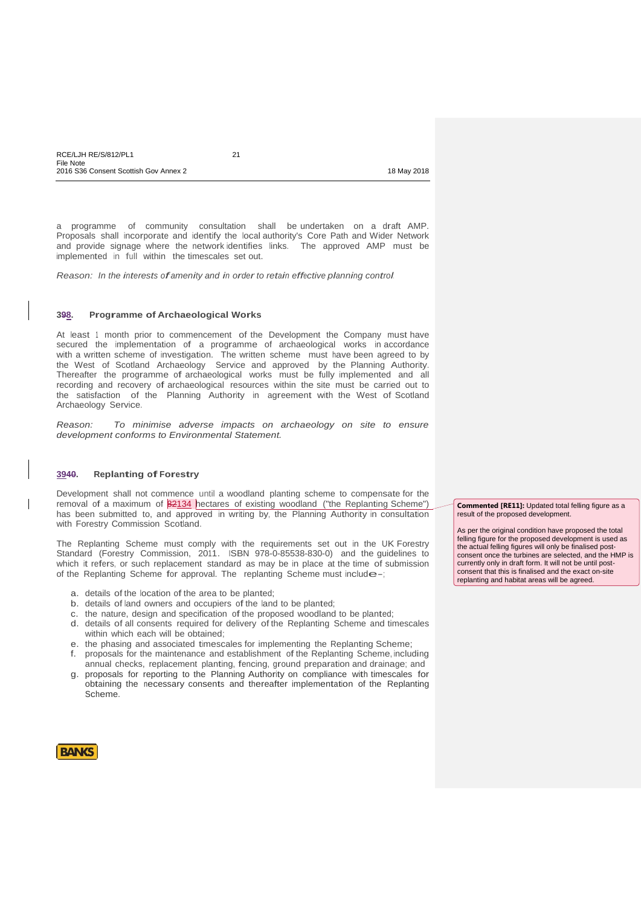a programme of community consultation shall be undertaken on a draft AMP. Proposals shall incorporate and identify the local authority's Core Path and Wider Network and provide signage where the network identifies links. The approved AMP must be implemented in full within the timescales set out.

*Reason: In the interests ofamenity and in orderto retain effective planning control.*

# **398. Programme of Archaeological Works**

At least 1 month prior to commencement of the Development the Company must have secured the implementation of a programme of archaeological works in accordance with a written scheme of investigation. The written scheme must have been agreed to by the West of Scotland Archaeology Service and approved by the Planning Authority. Thereafter the programme of archaeological works must be fully implemented and all recording and recovery of archaeological resources within the site must be carried out to the satisfaction of the Planning Authority in agreement with the West of Scotland Archaeology Service.

*Reason: To minimise adverse impacts on archaeology on site to ensure development conforms to Environmental Statement.*

### **3940. Replanting of Forestry**

Development shall not commence until a woodland planting scheme to compensate for the removal of a maximum of 82134 hectares of existing woodland ("the Replanting Scheme") has been submitted to, and approved in writing by, the Planning Authority in consultation with Forestry Commission Scotland.

The Replanting Scheme must comply with the requirements set out in the UK Forestry Standard (Forestry Commission, 2011. ISBN 978-0-85538-830-0) and the guidelines to which it refers, or such replacement standard as may be in place at the time of submission of the Replanting Scheme for approval. The replanting Scheme must include-;

- a. details of the location of the area to be planted;
- b. details of land owners and occupiers of the land to be planted;
- c. the nature, design and specification of the proposed woodland to be planted;
- d. details of all consents required for delivery of the Replanting Scheme and timescales within which each will be obtained;
- e. the phasing and associated timescales for implementing the Replanting Scheme;
- f. proposals for the maintenance and establishment of the Replanting Scheme, including annual checks, replacement planting, fencing, ground preparation and drainage; and
- g. proposals for reporting to the Planning Authority on compliance with timescales for obtaining the necessary consents and thereafter implementation of the Replanting Scheme.

**Commented [RE11]:** Updated total felling figure as a result of the proposed development.

As per the original condition have proposed the total felling figure for the proposed development is used as the actual felling figures will only be finalised postconsent once the turbines are selected, and the HMP is currently only in draft form. It will not be until postconsent that this is finalised and the exact on-site replanting and habitat areas will be agreed.

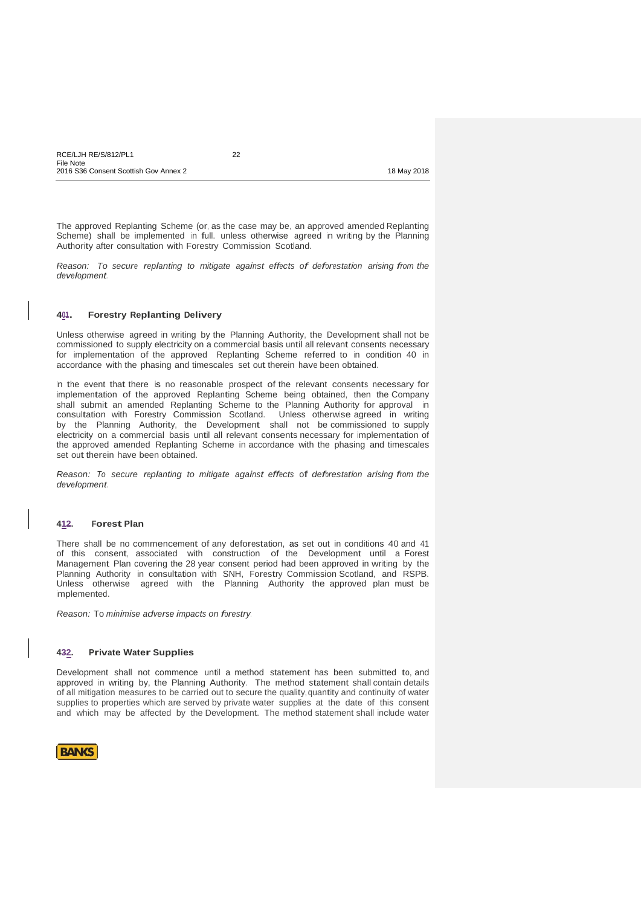| RCE/LJH RE/S/812/PL1                  | ∩∩ |             |
|---------------------------------------|----|-------------|
| File Note                             |    |             |
| 2016 S36 Consent Scottish Gov Annex 2 |    | 18 May 2018 |

The approved Replanting Scheme (or, as the case may be, an approved amended Replanting Scheme) shall be implemented in full. unless otherwise agreed in writing by the Planning Authority after consultation with Forestry Commission Scotland.

*Reason: To secure replanting to mitigate against effects of deforestation arising from the development.*

# **401. Forestry Replanting Delivery**

Unless otherwise agreed in writing by the Planning Authority, the Development shall not be commissioned to supply electricity on a commercial basis until all relevant consents necessary for implementation of the approved Replanting Scheme referred to in condition 40 in accordance with the phasing and timescales set out therein have been obtained.

In the event that there is no reasonable prospect of the relevant consents necessary for implementation of the approved Replanting Scheme being obtained, then the Company shall submit an amended Replanting Scheme to the Planning Authority for approval in consultation with Forestry Commission Scotland. Unless otherwise agreed in writing by the Planning Authority, the Development shall not be commissioned to supply electricity on a commercial basis until all relevant consents necessary for implementation of the approved amended Replanting Scheme in accordance with the phasing and timescales set out therein have been obtained.

*Reason: To secure replanting to mitigate against effects* of *deforestation arising from the development.*

# **412. Forest Plan**

There shall be no commencement of any deforestation, as set out in conditions 40 and 41 of this consent, associated with construction of the Development until a Forest Management Plan covering the 28 year consent period had been approved in writing by the Planning Authority in consultation with SNH, Forestry Commission Scotland, and RSPB. Unless otherwise agreed with the Planning Authority the approved plan must be implemented.

*Reason:* To *minimise adverse impacts on forestry.*

# **432. Private Water Supplies**

Development shall not commence until a method statement has been submitted to, and approved in writing by, the Planning Authority. The method statement shall contain details of all mitigation measures to be carried out to secure the quality, quantity and continuity of water supplies to properties which are served by private water supplies at the date of this consent and which may be affected by the Development. The method statement shall include water

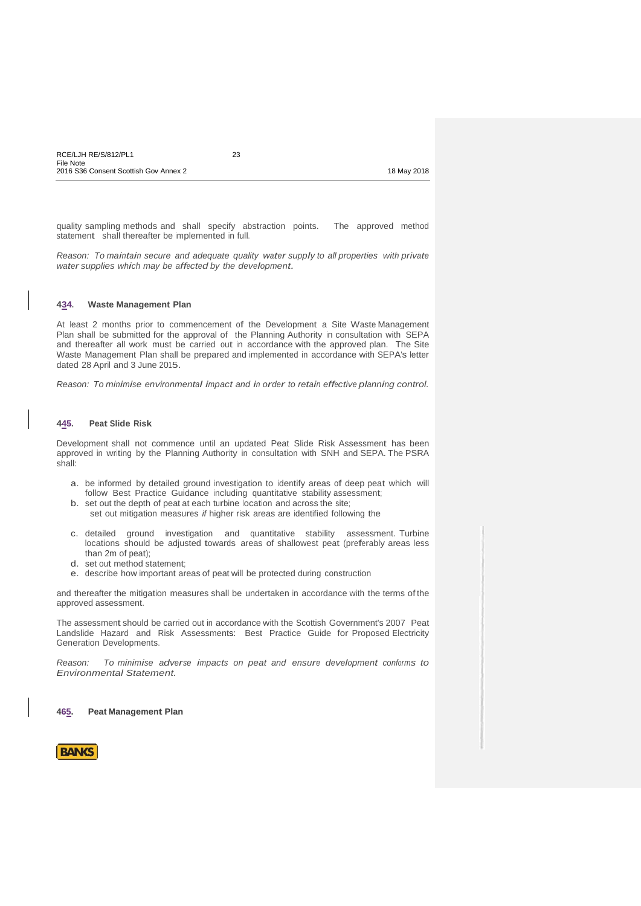quality sampling methods and shall specify abstraction points. The approved method statement shall thereafter be implemented in full.

*Reason: To maintain secure and adequate quality water supply to all properties with private water supplies which may be affected by the development.*

# **434. Waste Management Plan**

At least 2 months prior to commencement of the Development a Site Waste Management Plan shall be submitted for the approval of the Planning Authority in consultation with SEPA and thereafter all work must be carried out in accordance with the approved plan. The Site Waste Management Plan shall be prepared and implemented in accordance with SEPA's letter dated 28 April and 3 June 2015.

*Reason: To minimise environmental impact and in order to retain effective planning control.*

### **445. Peat Slide Risk**

Development shall not commence until an updated Peat Slide Risk Assessment has been approved in writing by the Planning Authority in consultation with SNH and SEPA. The PSRA shall:

- a. be informed by detailed ground investigation to identify areas of deep peat which will follow Best Practice Guidance including quantitative stability assessment;
- b. set out the depth of peat at each turbine location and across the site; set out mitigation measures *if* higher risk areas are identified following the
- c. detailed ground investigation and quantitative stability assessment. Turbine locations should be adjusted towards areas of shallowest peat (preferably areas less than 2m of peat);
- d. set out method statement;
- e. describe how important areas of peat will be protected during construction

and thereafter the mitigation measures shall be undertaken in accordance with the terms of the approved assessment.

The assessment should be carried out in accordance with the Scottish Government's 2007 Peat Landslide Hazard and Risk Assessments: Best Practice Guide for Proposed Electricity Generation Developments.

*Reason: To minimise adverse impacts on peat and ensure development conforms to Environmental Statement.*

**465. Peat Management Plan**

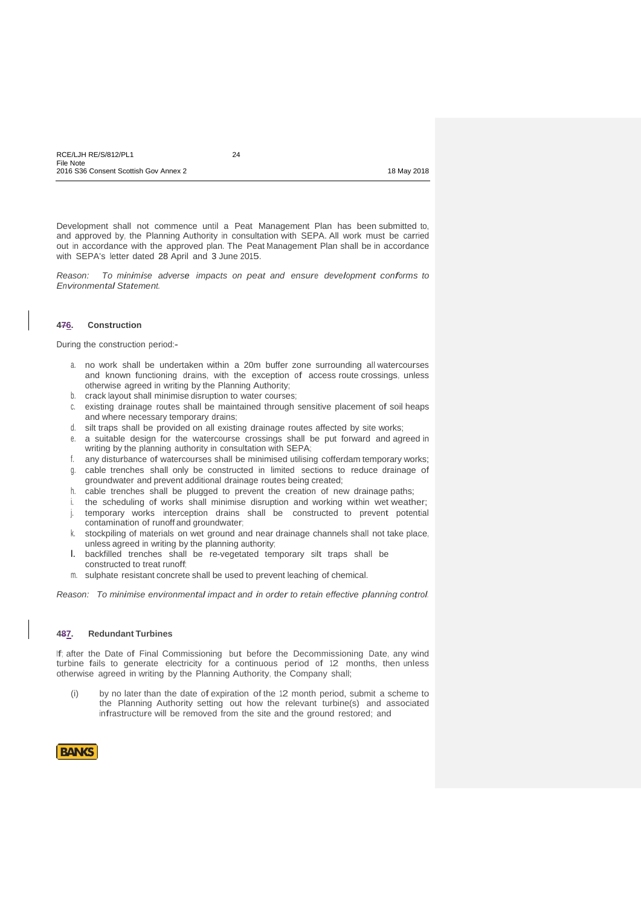Development shall not commence until a Peat Management Plan has been submitted to, and approved by, the Planning Authority in consultation with SEPA. All work must be carried out in accordance with the approved plan. The Peat Management Plan shall be in accordance with SEPA's letter dated 28 April and 3 June 2015.

*Reason: To minimise adverse impacts on peat and ensure development conforms to Environmental Statement.*

#### **476. Construction**

During the construction period:-

- a. no work shall be undertaken within a 20m buffer zone surrounding all watercourses and known functioning drains, with the exception of access route crossings, unless otherwise agreed in writing by the Planning Authority;
- b. crack layout shall minimise disruption to water courses;
- c. existing drainage routes shall be maintained through sensitive placement of soil heaps and where necessary temporary drains;
- d. silt traps shall be provided on all existing drainage routes affected by site works;
- e. a suitable design for the watercourse crossings shall be put forward and agreed in writing by the planning authority in consultation with SEPA;
- any disturbance of watercourses shall be minimised utilising cofferdam temporary works;
- g. cable trenches shall only be constructed in limited sections to reduce drainage of groundwater and prevent additional drainage routes being created;
- h. cable trenches shall be plugged to prevent the creation of new drainage paths;
- i. the scheduling of works shall minimise disruption and working within wet weather;
- j. temporary works interception drains shall be constructed to prevent potential contamination of runoff and groundwater;
- k. stockpiling of materials on wet ground and near drainage channels shall not take place, unless agreed in writing by the planning authority;
- l. backfilled trenches shall be re-vegetated temporary silt traps shall be constructed to treat runoff;
- m. sulphate resistant concrete shall be used to prevent leaching of chemical.

*Reason: To minimise environmental impact and in order to retain effective planning control.*

### **487. Redundant Turbines**

If; after the Date of Final Commissioning but before the Decommissioning Date, any wind turbine fails to generate electricity for a continuous period of 12 months, then unless otherwise agreed in writing by the Planning Authority, the Company shall;

(i) by no later than the date of expiration of the 12 month period, submit <sup>a</sup> scheme to the Planning Authority setting out how the relevant turbine(s) and associated infrastructure will be removed from the site and the ground restored; and

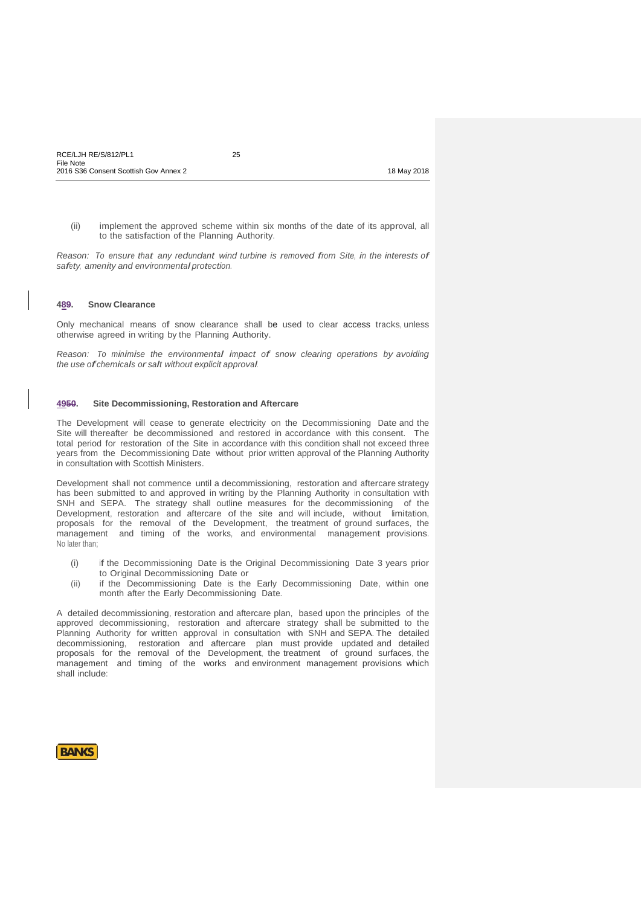(ii) implement the approved scheme within six months of the date of its approval, all to the satisfaction of the Planning Authority.

*Reason: To ensure that any redundant wind turbine is removed from Site, in the interests of safety, amenity and environmental protection.*

### **489. Snow Clearance**

Only mechanical means of snow clearance shall be used to clear access tracks, unless otherwise agreed in writing by the Planning Authority.

*Reason: To minimise the environmental impact of snow clearing operations by avoiding the use ofchemicals or salt without explicit approval.*

### **4950. Site Decommissioning, Restoration and Aftercare**

The Development will cease to generate electricity on the Decommissioning Date and the Site will thereafter be decommissioned and restored in accordance with this consent. The total period for restoration of the Site in accordance with this condition shall not exceed three years from the Decommissioning Date without prior written approval of the Planning Authority in consultation with Scottish Ministers.

Development shall not commence until a decommissioning, restoration and aftercare strategy has been submitted to and approved in writing by the Planning Authority in consultation with SNH and SEPA. The strategy shall outline measures for the decommissioning of the Development, restoration and aftercare of the site and will include, without limitation, proposals for the removal of the Development, the treatment of ground surfaces, the management and timing of the works, and environmental management provisions. No later than;

- (i) if the Decommissioning Date is the Original Decommissioning Date 3 years prior to Original Decommissioning Date or
- (ii) if the Decommissioning Date is the Early Decommissioning Date, within one month after the Early Decommissioning Date.

A detailed decommissioning, restoration and aftercare plan, based upon the principles of the approved decommissioning, restoration and aftercare strategy shall be submitted to the Planning Authority for written approval in consultation with SNH and SEPA. The detailed decommissioning, restoration and aftercare plan must provide updated and detailed proposals for the removal of the Development, the treatment of ground surfaces, the management and timing of the works and environment management provisions which shall include:

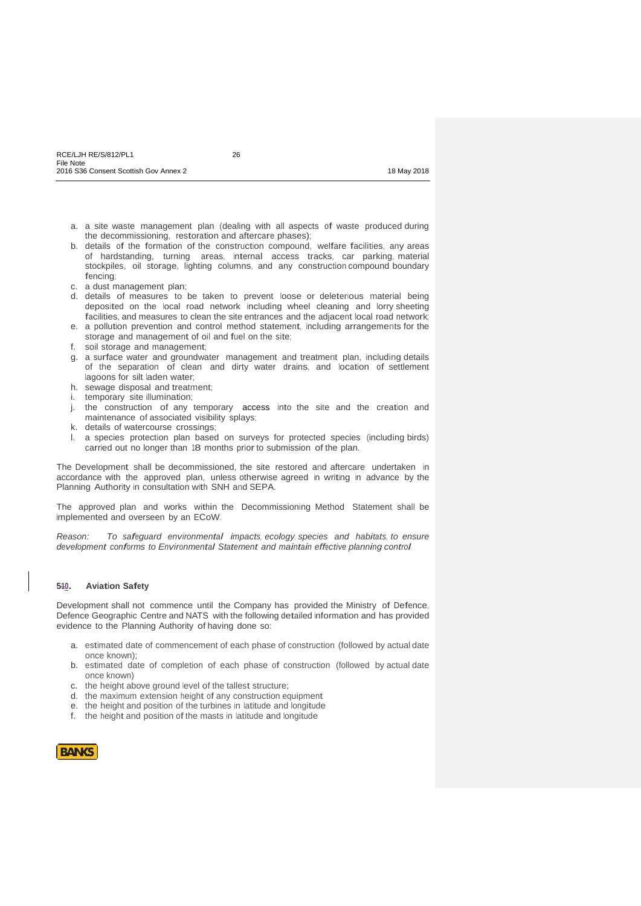- a. a site waste management plan (dealing with all aspects of waste produced during the decommissioning, restoration and aftercare phases);
- b. details of the formation of the construction compound, welfare facilities, any areas of hardstanding, turning areas, internal access tracks, car parking, material stockpiles, oil storage, lighting columns, and any construction compound boundary fencing;
- c. a dust management plan;
- d. details of measures to be taken to prevent loose or deleterious material being deposited on the local road network including wheel cleaning and lorry sheeting facilities, and measures to clean the site entrances and the adjacent local road network; e. a pollution prevention and control method statement, including arrangements for the
- storage and management of oil and fuel on the site;
- f. soil storage and management;
- g. a surface water and groundwater management and treatment plan, including details of the separation of clean and dirty water drains, and location of settlement lagoons for silt laden water;
- h. sewage disposal and treatment;
- i. temporary site illumination;
- j. the construction of any temporary access into the site and the creation and maintenance of associated visibility splays;
- k. details of watercourse crossings;
- l. a species protection plan based on surveys for protected species (including birds) carried out no longer than 18 months priorto submission of the plan.

The Development shall be decommissioned, the site restored and aftercare undertaken in accordance with the approved plan, unless otherwise agreed in writing in advance by the Planning Authority in consultation with SNH and SEPA.

The approved plan and works within the Decommissioning Method Statement shall be implemented and overseen by an ECoW.

*Reason: To safeguard environmental impacts, ecology, species and habitats, to ensure development conforms to Environmental Statement and maintain effective planning control.*

### **510. Aviation Safety**

Development shall not commence until the Company has provided the Ministry of Defence, Defence Geographic Centre and NATS with the following detailed information and has provided evidence to the Planning Authority of having done so:

- a. estimated date of commencement of each phase of construction (followed by actual date once known);
- b. estimated date of completion of each phase of construction (followed by actual date once known)
- c. the height above ground level of the tallest structure;
- d. the maximum extension height of any construction equipment
- e. the height and position of the turbines in latitude and longitude
- f. the height and position of the masts in latitude and longitude